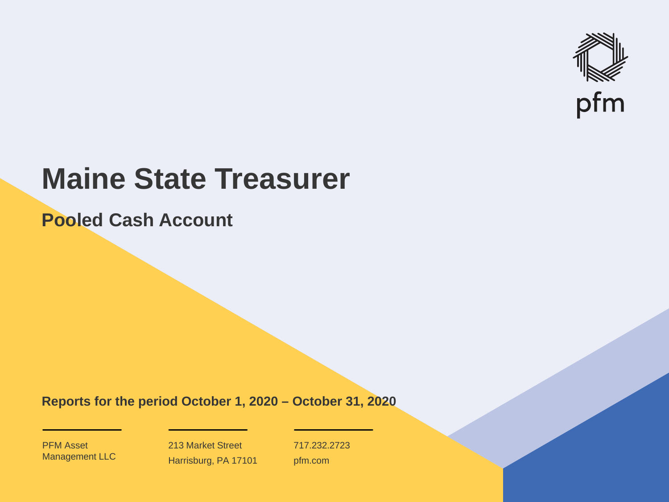

# **Maine State Treasurer**

**Pooled Cash Account**

**Reports for the period October 1, 2020 – October 31, 2020**

PFM Asset Management LLC

213 Market Street Harrisburg, PA 17101 717.232.2723 pfm.com

 $\mathcal{P}_\text{max}$  and  $\mathcal{P}_\text{max}$  is the probability of  $\mathcal{P}_\text{max}$  and  $\mathcal{P}_\text{max}$  and  $\mathcal{P}_\text{max}$  and  $\mathcal{P}_\text{max}$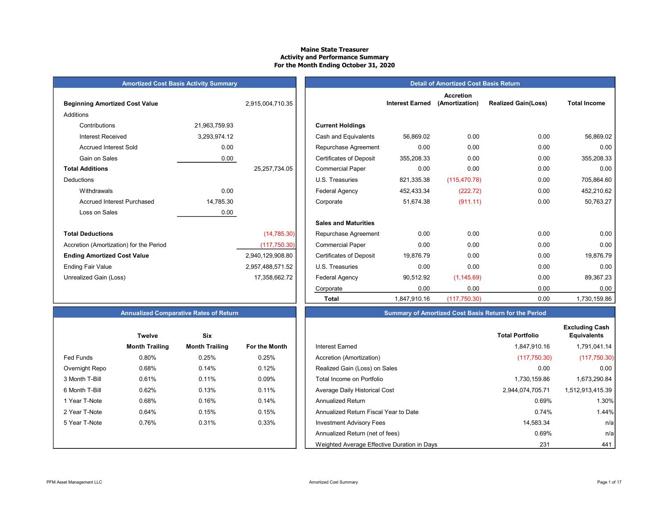#### Maine State Treasurer Activity and Performance Summary For the Month Ending October 31, 2020

# **Amortized Cost Basis Activity Summary**

| <b>Beginning Amortized Cost Value</b>   |               | 2,915,004,710.35 | <b>Interest Earned</b>      |            |  |  |  |
|-----------------------------------------|---------------|------------------|-----------------------------|------------|--|--|--|
| Additions                               |               |                  |                             |            |  |  |  |
| Contributions                           | 21,963,759.93 |                  | <b>Current Holdings</b>     |            |  |  |  |
| <b>Interest Received</b>                | 3,293,974.12  |                  | Cash and Equivalents        | 56,869.02  |  |  |  |
| <b>Accrued Interest Sold</b>            | 0.00          |                  | Repurchase Agreement        | 0.00       |  |  |  |
| Gain on Sales                           | 0.00          |                  | Certificates of Deposit     | 355,208.33 |  |  |  |
| <b>Total Additions</b>                  |               | 25, 257, 734.05  | <b>Commercial Paper</b>     | 0.00       |  |  |  |
| Deductions                              |               |                  | U.S. Treasuries             | 821,335.38 |  |  |  |
| Withdrawals                             | 0.00          |                  | <b>Federal Agency</b>       | 452,433.34 |  |  |  |
| <b>Accrued Interest Purchased</b>       | 14,785.30     |                  | Corporate                   | 51,674.38  |  |  |  |
| Loss on Sales                           | 0.00          |                  |                             |            |  |  |  |
|                                         |               |                  | <b>Sales and Maturities</b> |            |  |  |  |
| <b>Total Deductions</b>                 |               | (14, 785.30)     | Repurchase Agreement        | 0.00       |  |  |  |
| Accretion (Amortization) for the Period |               | (117,750.30)     | <b>Commercial Paper</b>     | 0.00       |  |  |  |
| <b>Ending Amortized Cost Value</b>      |               | 2,940,129,908.80 | Certificates of Deposit     | 19,876.79  |  |  |  |
| <b>Ending Fair Value</b>                |               | 2,957,488,571.52 | U.S. Treasuries             | 0.00       |  |  |  |
| Unrealized Gain (Loss)                  |               | 17,358,662.72    | <b>Federal Agency</b>       | 90,512.92  |  |  |  |
|                                         |               |                  |                             |            |  |  |  |

| Annualized Comnarative Rates of Return. |  |  |
|-----------------------------------------|--|--|

|                | <b>Twelve</b>         | Six                   |                      |
|----------------|-----------------------|-----------------------|----------------------|
|                | <b>Month Trailing</b> | <b>Month Trailing</b> | <b>For the Month</b> |
| Fed Funds      | 0.80%                 | 0.25%                 | 0.25%                |
| Overnight Repo | 0.68%                 | 0.14%                 | 0.12%                |
| 3 Month T-Bill | 0.61%                 | 0.11%                 | 0.09%                |
| 6 Month T-Bill | 0.62%                 | 0.13%                 | 0.11%                |
| 1 Year T-Note  | 0.68%                 | 0.16%                 | 0.14%                |
| 2 Year T-Note  | 0.64%                 | 0.15%                 | 0.15%                |
| 5 Year T-Note  | 0.76%                 | 0.31%                 | 0.33%                |
|                |                       |                       |                      |
|                |                       |                       |                      |

|                                         | <b>Amortized Cost Basis Activity Summary</b> |                  |                                | <b>Detail of Amortized Cost Basis Return</b> |                                    |                            |                     |  |  |
|-----------------------------------------|----------------------------------------------|------------------|--------------------------------|----------------------------------------------|------------------------------------|----------------------------|---------------------|--|--|
| <b>Beginning Amortized Cost Value</b>   |                                              | 2,915,004,710.35 |                                | <b>Interest Earned</b>                       | <b>Accretion</b><br>(Amortization) | <b>Realized Gain(Loss)</b> | <b>Total Income</b> |  |  |
| Additions                               |                                              |                  |                                |                                              |                                    |                            |                     |  |  |
| Contributions                           | 21,963,759.93                                |                  | <b>Current Holdings</b>        |                                              |                                    |                            |                     |  |  |
| <b>Interest Received</b>                | 3,293,974.12                                 |                  | Cash and Equivalents           | 56,869.02                                    | 0.00                               | 0.00                       | 56,869.02           |  |  |
| <b>Accrued Interest Sold</b>            | 0.00                                         |                  | Repurchase Agreement           | 0.00                                         | 0.00                               | 0.00                       | 0.00                |  |  |
| Gain on Sales                           | 0.00                                         |                  | <b>Certificates of Deposit</b> | 355,208.33                                   | 0.00                               | 0.00                       | 355,208.33          |  |  |
| <b>Total Additions</b>                  |                                              | 25, 257, 734.05  | <b>Commercial Paper</b>        | 0.00                                         | 0.00                               | 0.00                       | 0.00                |  |  |
| Deductions                              |                                              |                  | U.S. Treasuries                | 821,335.38                                   | (115, 470.78)                      | 0.00                       | 705,864.60          |  |  |
| Withdrawals                             | 0.00                                         |                  | <b>Federal Agency</b>          | 452,433.34                                   | (222.72)                           | 0.00                       | 452,210.62          |  |  |
| <b>Accrued Interest Purchased</b>       | 14,785.30                                    |                  | Corporate                      | 51,674.38                                    | (911.11)                           | 0.00                       | 50,763.27           |  |  |
| Loss on Sales                           | 0.00                                         |                  |                                |                                              |                                    |                            |                     |  |  |
|                                         |                                              |                  | <b>Sales and Maturities</b>    |                                              |                                    |                            |                     |  |  |
| <b>Total Deductions</b>                 |                                              | (14, 785.30)     | Repurchase Agreement           | 0.00                                         | 0.00                               | 0.00                       | 0.00                |  |  |
| Accretion (Amortization) for the Period |                                              | (117,750.30)     | <b>Commercial Paper</b>        | 0.00                                         | 0.00                               | 0.00                       | 0.00                |  |  |
| <b>Ending Amortized Cost Value</b>      |                                              | 2,940,129,908.80 | <b>Certificates of Deposit</b> | 19,876.79                                    | 0.00                               | 0.00                       | 19,876.79           |  |  |
| <b>Ending Fair Value</b>                |                                              | 2,957,488,571.52 | U.S. Treasuries                | 0.00                                         | 0.00                               | 0.00                       | 0.00                |  |  |
| Unrealized Gain (Loss)                  |                                              | 17,358,662.72    | <b>Federal Agency</b>          | 90,512.92                                    | (1, 145.69)                        | 0.00                       | 89,367.23           |  |  |
|                                         |                                              |                  | Corporate                      | 0.00                                         | 0.00                               | 0.00                       | 0.00                |  |  |
|                                         |                                              |                  | <b>Total</b>                   | 1,847,910.16                                 | (117,750.30)                       | 0.00                       | 1,730,159.86        |  |  |

# Summary of Amortized Cost Basis Return for the Period

|                  | <b>Twelve</b>         | <b>Six</b>            |               |                                             | <b>Total Portfolio</b> |
|------------------|-----------------------|-----------------------|---------------|---------------------------------------------|------------------------|
|                  | <b>Month Trailing</b> | <b>Month Trailing</b> | For the Month | Interest Earned                             | 1.847.910.16           |
| <b>Fed Funds</b> | 0.80%                 | 0.25%                 | 0.25%         | Accretion (Amortization)                    | (117,750.30)           |
| Overnight Repo   | 0.68%                 | 0.14%                 | 0.12%         | Realized Gain (Loss) on Sales               | 0.00                   |
| 3 Month T-Bill   | 0.61%                 | 0.11%                 | 0.09%         | Total Income on Portfolio                   | 1,730,159.86           |
| 6 Month T-Bill   | 0.62%                 | 0.13%                 | 0.11%         | Average Daily Historical Cost               | 2,944,074,705.71       |
| 1 Year T-Note    | 0.68%                 | 0.16%                 | 0.14%         | <b>Annualized Return</b>                    | 0.69%                  |
| 2 Year T-Note    | 0.64%                 | 0.15%                 | 0.15%         | Annualized Return Fiscal Year to Date       | 0.74%                  |
| 5 Year T-Note    | 0.76%                 | 0.31%                 | 0.33%         | <b>Investment Advisory Fees</b>             | 14,583.34              |
|                  |                       |                       |               | Annualized Return (net of fees)             | 0.69%                  |
|                  |                       |                       |               | Weighted Average Effective Duration in Days | 231                    |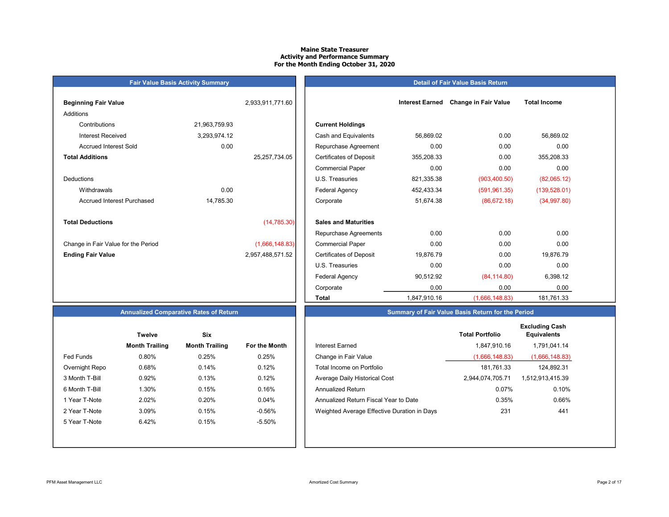#### Maine State Treasurer Activity and Performance Summary For the Month Ending October 31, 2020

# Beginning Fair Value 2,933,911,771.60 Additions Contributions 21,963,759.93 Accrued Interest Purchased 14,785.30 Total Deductions (14,785.30) Change in Fair Value for the Period (1,666,148.83)

Fair Value Basis Activity Summary

| <b>Beginning Fair Value</b>         |               | 2,933,911,771.60 |                                |              | Interest Earned Change in Fair Value | <b>Total Income</b> |
|-------------------------------------|---------------|------------------|--------------------------------|--------------|--------------------------------------|---------------------|
| <b>Additions</b>                    |               |                  |                                |              |                                      |                     |
| Contributions                       | 21,963,759.93 |                  | <b>Current Holdings</b>        |              |                                      |                     |
| <b>Interest Received</b>            | 3,293,974.12  |                  | Cash and Equivalents           | 56,869.02    | 0.00                                 | 56,869.02           |
| <b>Accrued Interest Sold</b>        | 0.00          |                  | Repurchase Agreement           | 0.00         | 0.00                                 | 0.00                |
| <b>Total Additions</b>              |               | 25, 257, 734.05  | <b>Certificates of Deposit</b> | 355,208.33   | 0.00                                 | 355,208.33          |
|                                     |               |                  | <b>Commercial Paper</b>        | 0.00         | 0.00                                 | 0.00                |
| Deductions                          |               |                  | U.S. Treasuries                | 821,335.38   | (903, 400.50)                        | (82,065.12)         |
| Withdrawals                         | 0.00          |                  | <b>Federal Agency</b>          | 452,433.34   | (591, 961.35)                        | (139, 528.01)       |
| <b>Accrued Interest Purchased</b>   | 14,785.30     |                  | Corporate                      | 51,674.38    | (86, 672.18)                         | (34,997.80)         |
| <b>Total Deductions</b>             |               | (14, 785.30)     | <b>Sales and Maturities</b>    |              |                                      |                     |
|                                     |               |                  | Repurchase Agreements          | 0.00         | 0.00                                 | 0.00                |
| Change in Fair Value for the Period |               | (1,666,148.83)   | <b>Commercial Paper</b>        | 0.00         | 0.00                                 | 0.00                |
| <b>Ending Fair Value</b>            |               | 2,957,488,571.52 | <b>Certificates of Deposit</b> | 19,876.79    | 0.00                                 | 19,876.79           |
|                                     |               |                  | U.S. Treasuries                | 0.00         | 0.00                                 | 0.00                |
|                                     |               |                  | <b>Federal Agency</b>          | 90,512.92    | (84, 114.80)                         | 6,398.12            |
|                                     |               |                  | Corporate                      | 0.00         | 0.00                                 | 0.00                |
|                                     |               |                  | <b>Total</b>                   | 1,847,910.16 | (1,666,148.83)                       | 181,761.33          |

Detail of Fair Value Basis Return

#### Summary of Fair Value Basis Return for the Period

|                  | <b>Twelve</b>         | Six                   |               |                                             | <b>Total Portfolio</b> | <b>Excluding Cash</b><br><b>Equivalents</b> |
|------------------|-----------------------|-----------------------|---------------|---------------------------------------------|------------------------|---------------------------------------------|
|                  | <b>Month Trailing</b> | <b>Month Trailing</b> | For the Month | <b>Interest Earned</b>                      | 1,847,910.16           | 1,791,041.14                                |
| <b>Fed Funds</b> | 0.80%                 | 0.25%                 | 0.25%         | Change in Fair Value                        | (1,666,148.83)         | (1,666,148.83)                              |
| Overnight Repo   | 0.68%                 | 0.14%                 | 0.12%         | Total Income on Portfolio                   | 181.761.33             | 124.892.31                                  |
| 3 Month T-Bill   | 0.92%                 | 0.13%                 | 0.12%         | Average Daily Historical Cost               | 2.944.074.705.71       | 1,512,913,415.39                            |
| 6 Month T-Bill   | 1.30%                 | 0.15%                 | 0.16%         | <b>Annualized Return</b>                    | 0.07%                  | 0.10%                                       |
| 1 Year T-Note    | 2.02%                 | 0.20%                 | 0.04%         | Annualized Return Fiscal Year to Date       | 0.35%                  | 0.66%                                       |
| 2 Year T-Note    | 3.09%                 | 0.15%                 | $-0.56%$      | Weighted Average Effective Duration in Days | 231                    | 441                                         |
| 5 Year T-Note    | 6.42%                 | 0.15%                 | -5.50%        |                                             |                        |                                             |

### Annualized Comparative Rates of Return

|                | <b>Twelve</b>         | Six                   |                      |
|----------------|-----------------------|-----------------------|----------------------|
|                | <b>Month Trailing</b> | <b>Month Trailing</b> | <b>For the Month</b> |
| Fed Funds      | 0.80%                 | 0.25%                 | 0.25%                |
| Overnight Repo | 0.68%                 | 0.14%                 | 0.12%                |
| 3 Month T-Bill | 0.92%                 | 0.13%                 | 0.12%                |
| 6 Month T-Bill | 1.30%                 | 0.15%                 | 0.16%                |
| 1 Year T-Note  | 2.02%                 | 0.20%                 | 0.04%                |
| 2 Year T-Note  | 3.09%                 | 0.15%                 | $-0.56%$             |
| 5 Year T-Note  | 6.42%                 | 0.15%                 | $-5.50%$             |
|                |                       |                       |                      |
|                |                       |                       |                      |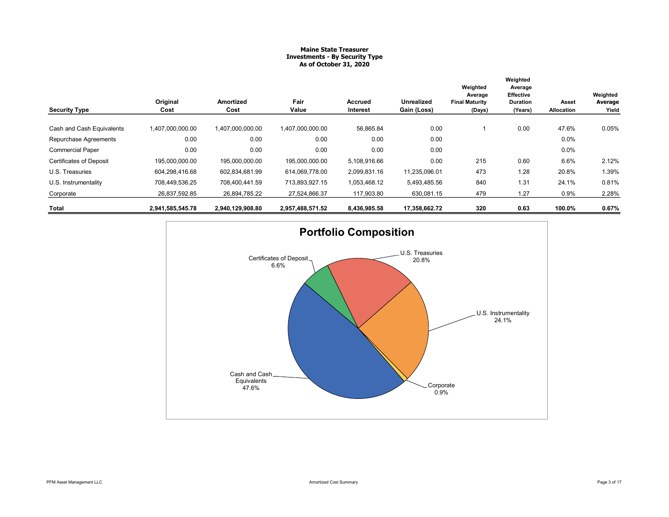#### Maine State Treasurer Investments - By Security Type As of October 31, 2020

|                                | Original         | <b>Amortized</b> | Fair             | Accrued      | <b>Unrealized</b> | Weighted<br>Average<br><b>Final Maturity</b> | Weighted<br>Average<br><b>Effective</b><br><b>Duration</b> | Asset      | Weighted<br>Average |
|--------------------------------|------------------|------------------|------------------|--------------|-------------------|----------------------------------------------|------------------------------------------------------------|------------|---------------------|
| <b>Security Type</b>           | Cost             | Cost             | Value            | Interest     | Gain (Loss)       | (Days)                                       | (Years)                                                    | Allocation | Yield               |
| Cash and Cash Equivalents      | 1,407,000,000.00 | 1,407,000,000.00 | 1.407.000.000.00 | 56,865.84    | 0.00              |                                              | 0.00                                                       | 47.6%      | 0.05%               |
| Repurchase Agreements          | 0.00             | 0.00             | 0.00             | 0.00         | 0.00              |                                              |                                                            | 0.0%       |                     |
| <b>Commercial Paper</b>        | 0.00             | 0.00             | 0.00             | 0.00         | 0.00              |                                              |                                                            | $0.0\%$    |                     |
| <b>Certificates of Deposit</b> | 195,000,000.00   | 195,000,000.00   | 195,000,000.00   | 5,108,916.66 | 0.00              | 215                                          | 0.60                                                       | 6.6%       | 2.12%               |
| U.S. Treasuries                | 604.298.416.68   | 602.834.681.99   | 614.069.778.00   | 2,099,831.16 | 11,235,096.01     | 473                                          | 1.28                                                       | 20.8%      | 1.39%               |
| U.S. Instrumentality           | 708.449.536.25   | 708.400.441.59   | 713,893,927.15   | 1,053,468.12 | 5,493,485.56      | 840                                          | 1.31                                                       | 24.1%      | 0.81%               |
| Corporate                      | 26,837,592.85    | 26,894,785.22    | 27,524,866.37    | 117,903.80   | 630,081.15        | 479                                          | 1.27                                                       | 0.9%       | 2.28%               |
| Total                          | 2,941,585,545.78 | 2,940,129,908.80 | 2,957,488,571.52 | 8,436,985.58 | 17,358,662.72     | 320                                          | 0.63                                                       | 100.0%     | 0.67%               |

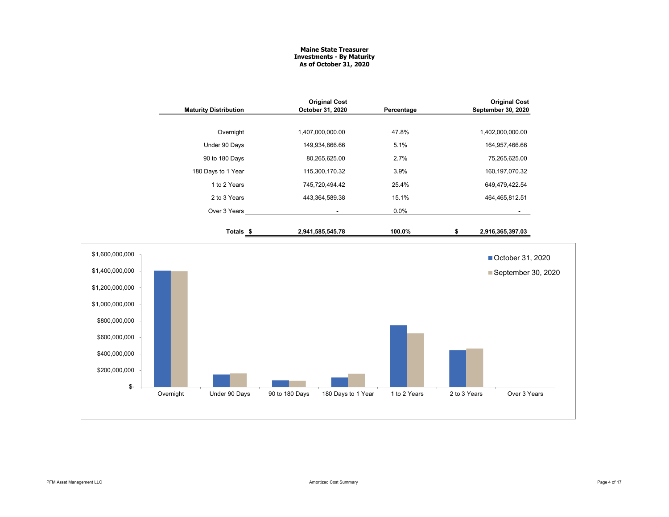#### Maine State Treasurer Investments - By Maturity As of October 31, 2020

|                 | <b>Maturity Distribution</b> | <b>Original Cost</b><br>October 31, 2020 | Percentage   | <b>Original Cost</b><br>September 30, 2020 |
|-----------------|------------------------------|------------------------------------------|--------------|--------------------------------------------|
|                 |                              |                                          |              |                                            |
|                 | Overnight                    | 1,407,000,000.00                         | 47.8%        | 1,402,000,000.00                           |
|                 | Under 90 Days                | 149,934,666.66                           | 5.1%         | 164,957,466.66                             |
|                 | 90 to 180 Days               | 80,265,625.00                            | 2.7%         | 75,265,625.00                              |
|                 | 180 Days to 1 Year           | 115,300,170.32                           | 3.9%         | 160, 197, 070. 32                          |
|                 | 1 to 2 Years                 | 745,720,494.42                           | 25.4%        | 649,479,422.54                             |
|                 | 2 to 3 Years                 | 443,364,589.38                           | 15.1%        | 464,465,812.51                             |
|                 | Over 3 Years                 | $\sim$                                   | 0.0%         | $\sim$                                     |
|                 | Totals \$                    | 2,941,585,545.78                         | 100.0%       | \$<br>2,916,365,397.03                     |
| \$1,600,000,000 |                              |                                          |              | ■ October 31, 2020                         |
| \$1,400,000,000 |                              |                                          |              | September 30, 2020                         |
| \$1,200,000,000 |                              |                                          |              |                                            |
| \$1,000,000,000 |                              |                                          |              |                                            |
| \$800,000,000   |                              |                                          |              |                                            |
| \$600,000,000   |                              |                                          |              |                                            |
| \$400,000,000   |                              |                                          |              |                                            |
| \$200,000,000   |                              |                                          |              |                                            |
| \$-             | Overnight<br>Under 90 Days   | 90 to 180 Days<br>180 Days to 1 Year     | 1 to 2 Years | Over 3 Years<br>2 to 3 Years               |
|                 |                              |                                          |              |                                            |
|                 |                              |                                          |              |                                            |
|                 |                              |                                          |              |                                            |
|                 |                              |                                          |              |                                            |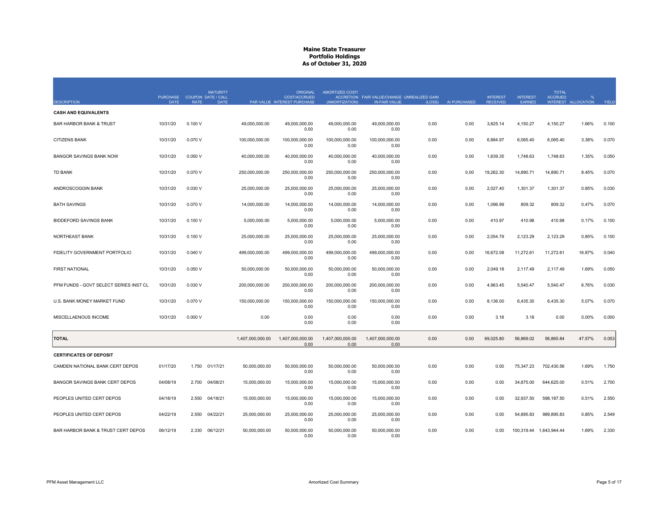| <b>DESCRIPTION</b>                     | <b>PURCHASE</b><br><b>DATE</b> | <b>RATE</b> | <b>MATURITY</b><br>COUPON DATE / CALL<br><b>DATE</b> |                  | <b>ORIGINAL</b><br><b>COST/ACCRUED</b><br>PAR VALUE INTEREST PURCHASE | AMORTIZED COST/<br>(AMORTIZATION) | ACCRETION FAIR VALUE/CHANGE UNREALIZED GAIN<br>IN FAIR VALUE | (LOSS) | AI PURCHASED | <b>INTEREST</b><br><b>RECEIVED</b> | <b>INTEREST</b><br><b>EARNED</b> | <b>TOTAL</b><br><b>ACCRUED</b> | INTEREST ALLOCATION | YIELD |
|----------------------------------------|--------------------------------|-------------|------------------------------------------------------|------------------|-----------------------------------------------------------------------|-----------------------------------|--------------------------------------------------------------|--------|--------------|------------------------------------|----------------------------------|--------------------------------|---------------------|-------|
| <b>CASH AND EQUIVALENTS</b>            |                                |             |                                                      |                  |                                                                       |                                   |                                                              |        |              |                                    |                                  |                                |                     |       |
| <b>BAR HARBOR BANK &amp; TRUST</b>     | 10/31/20                       | 0.100V      |                                                      | 49,000,000.00    | 49,000,000.00<br>0.00                                                 | 49.000.000.00<br>0.00             | 49.000.000.00<br>0.00                                        | 0.00   | 0.00         | 3,825.14                           | 4,150.27                         | 4,150.27                       | 1.66%               | 0.100 |
| <b>CITIZENS BANK</b>                   | 10/31/20                       | 0.070V      |                                                      | 100,000,000.00   | 100,000,000.00<br>0.00                                                | 100,000,000.00<br>0.00            | 100,000,000.00<br>0.00                                       | 0.00   | 0.00         | 6,884.97                           | 6,065.40                         | 6,065.40                       | 3.38%               | 0.070 |
| <b>BANGOR SAVINGS BANK NOW</b>         | 10/31/20                       | 0.050V      |                                                      | 40,000,000.00    | 40,000,000.00<br>0.00                                                 | 40,000,000.00<br>0.00             | 40,000,000.00<br>0.00                                        | 0.00   | 0.00         | 1,639.35                           | 1,748.63                         | 1,748.63                       | 1.35%               | 0.050 |
| <b>TD BANK</b>                         | 10/31/20                       | 0.070 V     |                                                      | 250,000,000.00   | 250,000,000.00<br>0.00                                                | 250,000,000.00<br>0.00            | 250,000,000.00<br>0.00                                       | 0.00   | 0.00         | 19,262.30                          | 14,890.71                        | 14,890.71                      | 8.45%               | 0.070 |
| ANDROSCOGGIN BANK                      | 10/31/20                       | 0.030V      |                                                      | 25.000.000.00    | 25.000.000.00<br>0.00                                                 | 25.000.000.00<br>0.00             | 25.000.000.00<br>0.00                                        | 0.00   | 0.00         | 2.027.40                           | 1,301.37                         | 1,301.37                       | 0.85%               | 0.030 |
| <b>BATH SAVINGS</b>                    | 10/31/20                       | 0.070 V     |                                                      | 14,000,000.00    | 14,000,000.00<br>0.00                                                 | 14,000,000.00<br>0.00             | 14,000,000.00<br>0.00                                        | 0.00   | 0.00         | 1,096.99                           | 809.32                           | 809.32                         | 0.47%               | 0.070 |
| <b>BIDDEFORD SAVINGS BANK</b>          | 10/31/20                       | 0.100V      |                                                      | 5,000,000.00     | 5,000,000.00<br>0.00                                                  | 5,000,000.00<br>0.00              | 5,000,000.00<br>0.00                                         | 0.00   | 0.00         | 410.97                             | 410.98                           | 410.98                         | 0.17%               | 0.100 |
| NORTHEAST BANK                         | 10/31/20                       | 0.100V      |                                                      | 25,000,000.00    | 25,000,000.00<br>0.00                                                 | 25,000,000.00<br>0.00             | 25,000,000.00<br>0.00                                        | 0.00   | 0.00         | 2,054.79                           | 2,123.29                         | 2,123.29                       | 0.85%               | 0.100 |
| FIDELITY GOVERNMENT PORTFOLIO          | 10/31/20                       | 0.040V      |                                                      | 499.000.000.00   | 499.000.000.00<br>0.00                                                | 499.000.000.00<br>0.00            | 499,000,000.00<br>0.00                                       | 0.00   | 0.00         | 16,672.08                          | 11.272.61                        | 11.272.61                      | 16.87%              | 0.040 |
| <b>FIRST NATIONAL</b>                  | 10/31/20                       | 0.050V      |                                                      | 50,000,000.00    | 50,000,000.00<br>0.00                                                 | 50,000,000.00<br>0.00             | 50,000,000.00<br>0.00                                        | 0.00   | 0.00         | 2,049.18                           | 2,117.49                         | 2,117.49                       | 1.69%               | 0.050 |
| PFM FUNDS - GOVT SELECT SERIES INST CL | 10/31/20                       | 0.030V      |                                                      | 200.000.000.00   | 200.000.000.00<br>0.00                                                | 200.000.000.00<br>0.00            | 200.000.000.00<br>0.00                                       | 0.00   | 0.00         | 4.963.45                           | 5.540.47                         | 5.540.47                       | 6.76%               | 0.030 |
| U.S. BANK MONEY MARKET FUND            | 10/31/20                       | 0.070 V     |                                                      | 150,000,000.00   | 150,000,000.00<br>0.00                                                | 150.000.000.00<br>0.00            | 150,000,000.00<br>0.00                                       | 0.00   | 0.00         | 8,136.00                           | 6,435.30                         | 6,435.30                       | 5.07%               | 0.070 |
| MISCELLAENOUS INCOME                   | 10/31/20                       | 0.000V      |                                                      | 0.00             | 0.00<br>0.00                                                          | 0.00<br>0.00                      | 0.00<br>0.00                                                 | 0.00   | 0.00         | 3.18                               | 3.18                             | 0.00                           | 0.00%               | 0.000 |
| <b>TOTAL</b>                           |                                |             |                                                      | 1.407.000.000.00 | 1,407,000,000.00<br>0.00                                              | 1,407,000,000.00<br>0.00          | 1,407,000,000.00<br>0.00                                     | 0.00   | 0.00         | 69,025.80                          | 56,869.02                        | 56,865.84                      | 47.57%              | 0.053 |
| <b>CERTIFICATES OF DEPOSIT</b>         |                                |             |                                                      |                  |                                                                       |                                   |                                                              |        |              |                                    |                                  |                                |                     |       |
| CAMDEN NATIONAL BANK CERT DEPOS        | 01/17/20                       | 1.750       | 01/17/21                                             | 50,000,000.00    | 50,000,000.00<br>0.00                                                 | 50.000.000.00<br>0.00             | 50,000,000.00<br>0.00                                        | 0.00   | 0.00         | 0.00                               | 75,347.23                        | 702,430.56                     | 1.69%               | 1.750 |
| <b>BANGOR SAVINGS BANK CERT DEPOS</b>  | 04/08/19                       | 2.700       | 04/08/21                                             | 15,000,000.00    | 15,000,000.00<br>0.00                                                 | 15,000,000.00<br>0.00             | 15,000,000.00<br>0.00                                        | 0.00   | 0.00         | 0.00                               | 34.875.00                        | 644,625.00                     | 0.51%               | 2.700 |
| PEOPLES UNITED CERT DEPOS              | 04/18/19                       | 2.550       | 04/18/21                                             | 15,000,000.00    | 15,000,000.00<br>0.00                                                 | 15.000.000.00<br>0.00             | 15,000,000.00<br>0.00                                        | 0.00   | 0.00         | 0.00                               | 32,937.50                        | 598,187.50                     | 0.51%               | 2.550 |
| PEOPLES UNITED CERT DEPOS              | 04/22/19                       | 2.550       | 04/22/21                                             | 25,000,000.00    | 25,000,000.00<br>0.00                                                 | 25,000,000.00<br>0.00             | 25,000,000.00<br>0.00                                        | 0.00   | 0.00         | 0.00                               | 54,895.83                        | 989,895.83                     | 0.85%               | 2.549 |
| BAR HARBOR BANK & TRUST CERT DEPOS     | 06/12/19                       | 2.330       | 06/12/21                                             | 50,000,000.00    | 50,000,000.00<br>0.00                                                 | 50,000,000.00<br>0.00             | 50,000,000.00<br>0.00                                        | 0.00   | 0.00         | 0.00                               |                                  | 100,319.44 1,643,944.44        | 1.69%               | 2.330 |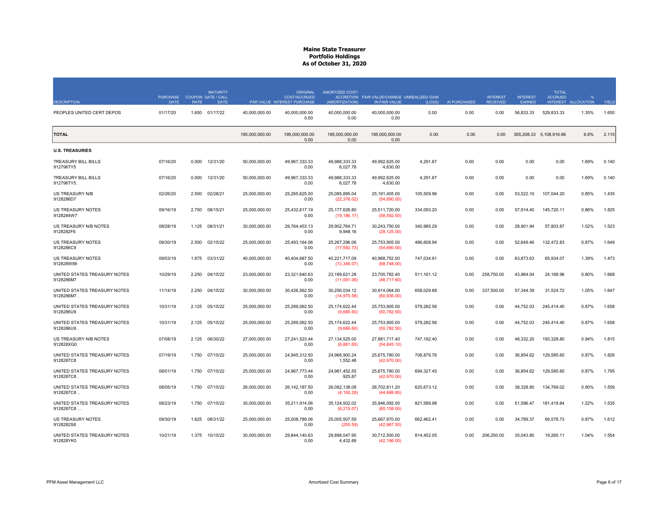| <b>DESCRIPTION</b>                        | <b>PURCHASE</b><br><b>DATE</b> | <b>RATE</b> | <b>MATURITY</b><br>COUPON DATE / CALL<br><b>DATE</b> |                | <b>ORIGINAL</b><br><b>COST/ACCRUED</b><br>PAR VALUE INTEREST PURCHASE | AMORTIZED COST/<br>(AMORTIZATION) | ACCRETION FAIR VALUE/CHANGE UNREALIZED GAIN<br>IN FAIR VALUE | (LOSS)     | AI PURCHASED | <b>INTEREST</b><br><b>RECEIVED</b> | <b>INTEREST</b><br><b>EARNED</b> | <b>TOTAL</b><br><b>ACCRUED</b><br><b>INTEREST</b> | <b>ALLOCATION</b> | YIELD |
|-------------------------------------------|--------------------------------|-------------|------------------------------------------------------|----------------|-----------------------------------------------------------------------|-----------------------------------|--------------------------------------------------------------|------------|--------------|------------------------------------|----------------------------------|---------------------------------------------------|-------------------|-------|
| PEOPLES UNITED CERT DEPOS                 | 01/17/20                       |             | 1.650 01/17/22                                       | 40,000,000.00  | 40.000.000.00<br>0.00                                                 | 40.000.000.00<br>0.00             | 40.000.000.00<br>0.00                                        | 0.00       | 0.00         | 0.00                               | 56,833.33                        | 529,833.33                                        | 1.35%             | 1.650 |
| <b>TOTAL</b>                              |                                |             |                                                      | 195,000,000.00 | 195,000,000.00<br>0.00                                                | 195,000,000.00<br>0.00            | 195,000,000.00<br>0.00                                       | 0.00       | 0.00         | 0.00                               |                                  | 355,208.33 5,108,916.66                           | 6.6%              | 2.115 |
| <b>U.S. TREASURIES</b>                    |                                |             |                                                      |                |                                                                       |                                   |                                                              |            |              |                                    |                                  |                                                   |                   |       |
| TREASURY BILL BILLS<br>912796TY5          | 07/16/20                       | 0.000       | 12/31/20                                             | 50.000.000.00  | 49.967.333.33<br>0.00                                                 | 49.988.333.33<br>6,027.78         | 49.992.625.00<br>4,630.00                                    | 4,291.67   | 0.00         | 0.00                               | 0.00                             | 0.00                                              | 1.69%             | 0.140 |
| TREASURY BILL BILLS<br>912796TY5          | 07/16/20                       | 0.000       | 12/31/20                                             | 50,000,000.00  | 49,967,333.33<br>0.00                                                 | 49.988.333.33<br>6,027.78         | 49.992.625.00<br>4,630.00                                    | 4,291.67   | 0.00         | 0.00                               | 0.00                             | 0.00                                              | 1.69%             | 0.140 |
| US TREASURY N/B<br>9128286D7              | 02/26/20                       | 2.500       | 02/28/21                                             | 25,000,000.00  | 25,265,625.00<br>0.00                                                 | 25,085,895.04<br>(22, 376.02)     | 25,191,405.00<br>(54,690.00)                                 | 105,509.96 | 0.00         | 0.00                               | 53,522.10                        | 107.044.20                                        | 0.85%             | 1.435 |
| US TREASURY NOTES<br>9128284W7            | 09/16/19                       | 2.750       | 08/15/21                                             | 25,000,000.00  | 25.432.617.19<br>0.00                                                 | 25,177,626.80<br>(19, 186.17)     | 25,511,720.00<br>(58, 592.50)                                | 334,093.20 | 0.00         | 0.00                               | 57.914.40                        | 145,720.11                                        | 0.86%             | 1.825 |
| US TREASURY N/B NOTES<br>9128282F6        | 08/28/19                       | 1.125       | 08/31/21                                             | 30.000.000.00  | 29.764.453.13<br>0.00                                                 | 29.902.764.71<br>9,948.16         | 30.243.750.00<br>(28, 125.00)                                | 340.985.29 | 0.00         | 0.00                               | 28,901.94                        | 57.803.87                                         | 1.02%             | 1.523 |
| <b>US TREASURY NOTES</b><br>9128286C9     | 09/30/19                       | 2.500       | 02/15/22                                             | 25.000.000.00  | 25.493.164.06<br>0.00                                                 | 25.267.296.06<br>(17, 592.73)     | 25.753.905.00<br>(54,690.00)                                 | 486,608.94 | 0.00         | 0.00                               | 52.649.46                        | 132.472.83                                        | 0.87%             | 1.649 |
| US TREASURY NOTES<br>912828W89            | 09/03/19                       | 1.875       | 03/31/22                                             | 40,000,000.00  | 40,404,687.50<br>0.00                                                 | 40,221,717.09<br>(13,346.07)      | 40,968,752.00<br>(68,748.00)                                 | 747,034.91 | 0.00         | 0.00                               | 63,873.63                        | 65,934.07                                         | 1.39%             | 1.473 |
| UNITED STATES TREASURY NOTES<br>9128286M7 | 10/29/19                       | 2.250       | 04/15/22                                             | 23,000,000.00  | 23,321,640.63<br>0.00                                                 | 23,189,621.28<br>(11,091.06)      | 23,700,782.40<br>(46, 717.60)                                | 511,161.12 | 0.00         | 258,750.00                         | 43,964.04                        | 24,168.96                                         | 0.80%             | 1.668 |
| UNITED STATES TREASURY NOTES<br>9128286M7 | 11/14/19                       | 2.250       | 04/15/22                                             | 30,000,000.00  | 30,426,562.50<br>0.00                                                 | 30,256,034.12<br>(14, 975.58)     | 30,914,064.00<br>(60, 936.00)                                | 658,029.88 | 0.00         | 337,500.00                         | 57,344.39                        | 31,524.72                                         | 1.05%             | 1.647 |
| UNITED STATES TREASURY NOTES<br>9128286U9 | 10/31/19                       | 2.125       | 05/15/22                                             | 25,000,000.00  | 25,289,062.50<br>0.00                                                 | 25,174,622.44<br>(9,666.60)       | 25,753,905.00<br>(50, 782.50)                                | 579,282.56 | 0.00         | 0.00                               | 44,752.03                        | 245,414.40                                        | 0.87%             | 1.658 |
| UNITED STATES TREASURY NOTES<br>9128286U9 | 10/31/19                       | 2.125       | 05/15/22                                             | 25,000,000.00  | 25.289.062.50<br>0.00                                                 | 25,174,622.44<br>(9,666.60)       | 25,753,905.00<br>(50, 782.50)                                | 579,282.56 | 0.00         | 0.00                               | 44,752.03                        | 245,414.40                                        | 0.87%             | 1.658 |
| US TREASURY N/B NOTES<br>912828XG0        | 07/08/19                       |             | 2.125 06/30/22                                       | 27,000,000.00  | 27,241,523.44<br>0.00                                                 | 27, 134, 525.00<br>(6,881.65)     | 27,881,717.40<br>(54, 845.10)                                | 747,192.40 | 0.00         | 0.00                               | 48,332.20                        | 193,328.80                                        | 0.94%             | 1.815 |
| UNITED STATES TREASURY NOTES<br>9128287C8 | 07/19/19                       | 1.750       | 07/15/22                                             | 25,000,000.00  | 24,945,312.50<br>0.00                                                 | 24,968,900.24<br>1,552.48         | 25,675,780.00<br>(42,970.00)                                 | 706,879.76 | 0.00         | 0.00                               | 36,854.62                        | 129,585.60                                        | 0.87%             | 1.826 |
| UNITED STATES TREASURY NOTES<br>9128287C8 | 08/01/19                       | 1.750       | 07/15/22                                             | 25,000,000.00  | 24,967,773.44<br>0.00                                                 | 24,981,452.55<br>925.87           | 25,675,780.00<br>(42, 970.00)                                | 694,327.45 | 0.00         | 0.00                               | 36,854.62                        | 129,585.60                                        | 0.87%             | 1.795 |
| UNITED STATES TREASURY NOTES<br>9128287C8 | 08/05/19                       | 1.750       | 07/15/22                                             | 26,000,000.00  | 26, 142, 187.50<br>0.00                                               | 26,082,138.08<br>(4, 100.29)      | 26,702,811.20<br>(44, 688.80)                                | 620,673.12 | 0.00         | 0.00                               | 38,328.80                        | 134,769.02                                        | 0.90%             | 1.559 |
| UNITED STATES TREASURY NOTES<br>9128287C8 | 08/23/19                       | 1.750       | 07/15/22                                             | 35,000,000.00  | 35,211,914.06<br>0.00                                                 | 35,124,502.02<br>(6, 215.07)      | 35.946.092.00<br>(60, 158.00)                                | 821,589.98 | 0.00         | 0.00                               | 51,596.47                        | 181.419.84                                        | 1.22%             | 1.535 |
| US TREASURY NOTES<br>9128282S8            | 09/30/19                       | 1.625       | 08/31/22                                             | 25,000,000.00  | 25,008,789.06<br>0.00                                                 | 25,005,507.59<br>(255.59)         | 25,667,970.00<br>(42,967.50)                                 | 662,462.41 | 0.00         | 0.00                               | 34,789.37                        | 69,578.73                                         | 0.87%             | 1.612 |
| UNITED STATES TREASURY NOTES<br>912828YK0 | 10/21/19                       |             | 1.375 10/15/22                                       | 30,000,000.00  | 29,844,140.63<br>0.00                                                 | 29,898,047.95<br>4,432.69         | 30,712,500.00<br>(42, 186.00)                                | 814,452.05 | 0.00         | 206,250.00                         | 35,043.80                        | 19,265.11                                         | 1.04%             | 1.554 |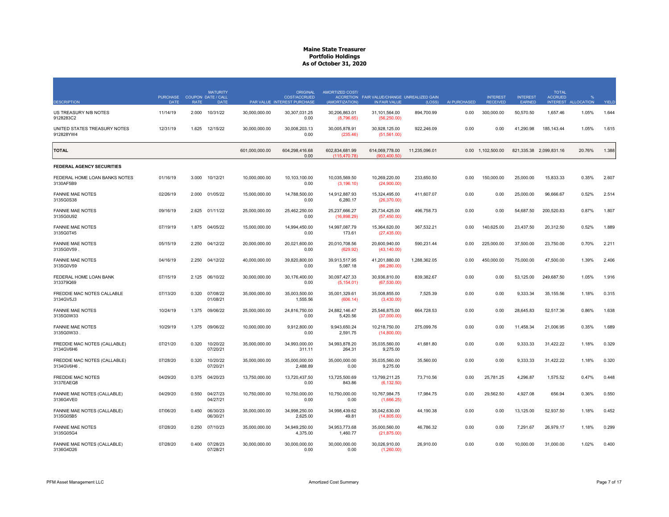|                                            | <b>PURCHASE</b> |             | <b>MATURITY</b><br>COUPON DATE / CALL |                | <b>ORIGINAL</b><br><b>COST/ACCRUED</b> | AMORTIZED COST/                 | ACCRETION FAIR VALUE/CHANGE UNREALIZED GAIN |               |              | <b>INTEREST</b>   | <b>INTEREST</b> | <b>TOTAL</b><br><b>ACCRUED</b> |                   |       |
|--------------------------------------------|-----------------|-------------|---------------------------------------|----------------|----------------------------------------|---------------------------------|---------------------------------------------|---------------|--------------|-------------------|-----------------|--------------------------------|-------------------|-------|
| <b>DESCRIPTION</b>                         | <b>DATE</b>     | <b>RATE</b> | <b>DATE</b>                           |                | PAR VALUE INTEREST PURCHASE            | (AMORTIZATION)                  | IN FAIR VALUE                               | (LOSS)        | AI PURCHASED | <b>RECEIVED</b>   | <b>FARNED</b>   | <b>INTEREST</b>                | <b>ALLOCATION</b> | YIELD |
| US TREASURY N/B NOTES<br>9128283C2         | 11/14/19        | 2.000       | 10/31/22                              | 30,000,000.00  | 30,307,031.25<br>0.00                  | 30,206,863.01<br>(8,796.65)     | 31,101,564.00<br>(56, 250.00)               | 894,700.99    | 0.00         | 300,000.00        | 50,570.50       | 1,657.46                       | 1.05%             | 1.644 |
| UNITED STATES TREASURY NOTES<br>912828YW4  | 12/31/19        | 1.625       | 12/15/22                              | 30,000,000.00  | 30,008,203.13<br>0.00                  | 30,005,878.91<br>(235.46)       | 30,928,125.00<br>(51, 561.00)               | 922,246.09    | 0.00         | 0.00              | 41,290.98       | 185, 143.44                    | 1.05%             | 1.615 |
| <b>TOTAL</b>                               |                 |             |                                       | 601,000,000.00 | 604.298.416.68<br>0.00                 | 602.834.681.99<br>(115, 470.78) | 614.069.778.00<br>(903, 400.50)             | 11.235.096.01 |              | 0.00 1,102,500.00 |                 | 821.335.38 2.099.831.16        | 20.76%            | 1.388 |
| <b>FEDERAL AGENCY SECURITIES</b>           |                 |             |                                       |                |                                        |                                 |                                             |               |              |                   |                 |                                |                   |       |
| FEDERAL HOME LOAN BANKS NOTES<br>3130AF5B9 | 01/16/19        | 3.000       | 10/12/21                              | 10,000,000.00  | 10,103,100.00<br>0.00                  | 10,035,569.50<br>(3, 196.10)    | 10,269,220.00<br>(24,900.00)                | 233,650.50    | 0.00         | 150,000.00        | 25,000.00       | 15,833.33                      | 0.35%             | 2.607 |
| <b>FANNIE MAE NOTES</b><br>3135G0S38       | 02/26/19        | 2.000       | 01/05/22                              | 15,000,000.00  | 14,788,500.00<br>0.00                  | 14,912,887.93<br>6,280.17       | 15,324,495.00<br>(26, 370.00)               | 411,607.07    | 0.00         | 0.00              | 25,000.00       | 96,666.67                      | 0.52%             | 2.514 |
| <b>FANNIE MAE NOTES</b><br>3135G0U92       | 09/16/19        | 2.625       | 01/11/22                              | 25,000,000.00  | 25,462,250.00<br>0.00                  | 25,237,666.27<br>(16,898.29)    | 25,734,425.00<br>(57, 450.00)               | 496,758.73    | 0.00         | 0.00              | 54,687.50       | 200,520.83                     | 0.87%             | 1.807 |
| <b>FANNIE MAE NOTES</b><br>3135G0T45       | 07/19/19        | 1.875       | 04/05/22                              | 15,000,000.00  | 14,994,450.00<br>0.00                  | 14,997,087.79<br>173.61         | 15,364,620.00<br>(27, 435.00)               | 367,532.21    | 0.00         | 140,625.00        | 23,437.50       | 20,312.50                      | 0.52%             | 1.889 |
| <b>FANNIE MAE NOTES</b><br>3135G0V59       | 05/15/19        | 2.250       | 04/12/22                              | 20,000,000.00  | 20,021,600.00<br>0.00                  | 20,010,708.56<br>(629.92)       | 20,600,940.00<br>(43, 140.00)               | 590,231.44    | 0.00         | 225,000.00        | 37,500.00       | 23,750.00                      | 0.70%             | 2.211 |
| <b>FANNIE MAE NOTES</b><br>3135G0V59       | 04/16/19        | 2.250       | 04/12/22                              | 40,000,000.00  | 39,820,800.00<br>0.00                  | 39,913,517.95<br>5,087.18       | 41,201,880.00<br>(86, 280.00)               | 1,288,362.05  | 0.00         | 450,000.00        | 75,000.00       | 47,500.00                      | 1.39%             | 2.406 |
| FEDERAL HOME LOAN BANK<br>313379Q69        | 07/15/19        | 2.125       | 06/10/22                              | 30,000,000.00  | 30,176,400.00<br>0.00                  | 30,097,427.33<br>(5, 154.01)    | 30,936,810.00<br>(67, 530.00)               | 839,382.67    | 0.00         | 0.00              | 53,125.00       | 249,687.50                     | 1.05%             | 1.916 |
| FREDDIE MAC NOTES CALLABLE<br>3134GV5J3    | 07/13/20        | 0.320       | 07/08/22<br>01/08/21                  | 35,000,000.00  | 35,003,500.00<br>1,555.56              | 35,001,329.61<br>(606.14)       | 35,008,855.00<br>(3,430.00)                 | 7,525.39      | 0.00         | 0.00              | 9,333.34        | 35,155.56                      | 1.18%             | 0.315 |
| <b>FANNIE MAE NOTES</b><br>3135G0W33       | 10/24/19        | 1.375       | 09/06/22                              | 25,000,000.00  | 24,816,750.00<br>0.00                  | 24,882,146.47<br>5,420.56       | 25,546,875.00<br>(37,000.00)                | 664,728.53    | 0.00         | 0.00              | 28,645.83       | 52,517.36                      | 0.86%             | 1.638 |
| <b>FANNIE MAE NOTES</b><br>3135G0W33       | 10/29/19        | 1.375       | 09/06/22                              | 10,000,000.00  | 9,912,800.00<br>0.00                   | 9,943,650.24<br>2,591.75        | 10,218,750.00<br>(14,800.00)                | 275,099.76    | 0.00         | 0.00              | 11,458.34       | 21,006.95                      | 0.35%             | 1.689 |
| FREDDIE MAC NOTES (CALLABLE)<br>3134GV6H6  | 07/21/20        | 0.320       | 10/20/22<br>07/20/21                  | 35,000,000.00  | 34,993,000.00<br>311.11                | 34.993.878.20<br>264.31         | 35,035,560.00<br>9,275.00                   | 41,681.80     | 0.00         | 0.00              | 9,333.33        | 31,422.22                      | 1.18%             | 0.329 |
| FREDDIE MAC NOTES (CALLABLE)<br>3134GV6H6  | 07/28/20        | 0.320       | 10/20/22<br>07/20/21                  | 35,000,000.00  | 35,000,000.00<br>2,488.89              | 35,000,000.00<br>0.00           | 35,035,560.00<br>9.275.00                   | 35,560.00     | 0.00         | 0.00              | 9,333.33        | 31,422.22                      | 1.18%             | 0.320 |
| <b>FREDDIE MAC NOTES</b><br>3137EAEQ8      | 04/29/20        | 0.375       | 04/20/23                              | 13,750,000.00  | 13,720,437.50<br>0.00                  | 13,725,500.69<br>843.86         | 13,799,211.25<br>(6, 132.50)                | 73,710.56     | 0.00         | 25,781.25         | 4,296.87        | 1,575.52                       | 0.47%             | 0.448 |
| FANNIE MAE NOTES (CALLABLE)<br>3136G4VE0   | 04/29/20        | 0.550       | 04/27/23<br>04/27/21                  | 10,750,000.00  | 10,750,000.00<br>0.00                  | 10,750,000.00<br>0.00           | 10,767,984.75<br>(1,666.25)                 | 17,984.75     | 0.00         | 29,562.50         | 4,927.08        | 656.94                         | 0.36%             | 0.550 |
| FANNIE MAE NOTES (CALLABLE)<br>3135G05B5   | 07/06/20        | 0.450       | 06/30/23<br>06/30/21                  | 35,000,000.00  | 34,998,250.00<br>2,625.00              | 34,998,439.62<br>49.81          | 35,042,630.00<br>(14,805.00)                | 44,190.38     | 0.00         | 0.00              | 13,125.00       | 52,937.50                      | 1.18%             | 0.452 |
| <b>FANNIE MAE NOTES</b><br>3135G05G4       | 07/28/20        | 0.250       | 07/10/23                              | 35,000,000.00  | 34,949,250.00<br>4,375.00              | 34,953,773.68<br>1,460.77       | 35,000,560.00<br>(21, 875.00)               | 46,786.32     | 0.00         | 0.00              | 7,291.67        | 26,979.17                      | 1.18%             | 0.299 |
| FANNIE MAE NOTES (CALLABLE)<br>3136G4D26   | 07/28/20        | 0.400       | 07/28/23<br>07/28/21                  | 30,000,000.00  | 30,000,000.00<br>0.00                  | 30,000,000.00<br>0.00           | 30,026,910.00<br>(1,260.00)                 | 26,910.00     | 0.00         | 0.00              | 10,000.00       | 31,000.00                      | 1.02%             | 0.400 |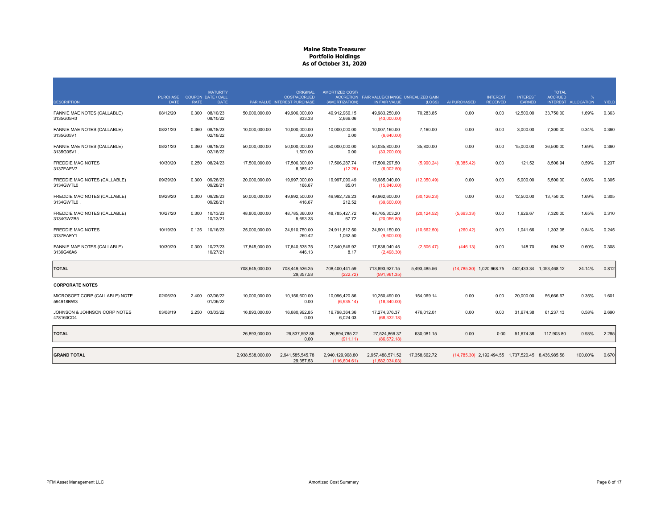| <b>DESCRIPTION</b>                          | <b>PURCHASE</b><br><b>DATE</b> | <b>RATE</b> | <b>MATURITY</b><br><b>COUPON DATE / CALL</b><br><b>DATE</b> |                  | <b>ORIGINAL</b><br><b>COST/ACCRUED</b><br>PAR VALUE INTEREST PURCHASE | AMORTIZED COST/<br>(AMORTIZATION) | ACCRETION FAIR VALUE/CHANGE UNREALIZED GAIN<br>IN FAIR VALUE | (LOSS)        | AI PURCHASED | <b>INTEREST</b><br><b>RECEIVED</b>                 | <b>INTEREST</b><br>EARNED | <b>TOTAL</b><br><b>ACCRUED</b> | %<br>INTEREST ALLOCATION | YIELD |
|---------------------------------------------|--------------------------------|-------------|-------------------------------------------------------------|------------------|-----------------------------------------------------------------------|-----------------------------------|--------------------------------------------------------------|---------------|--------------|----------------------------------------------------|---------------------------|--------------------------------|--------------------------|-------|
| FANNIE MAE NOTES (CALLABLE)<br>3135G05R0    | 08/12/20                       | 0.300       | 08/10/23<br>08/10/22                                        | 50,000,000.00    | 49,906,000.00<br>833.33                                               | 49,912,966.15<br>2,666.06         | 49,983,250.00<br>(43,000.00)                                 | 70,283.85     | 0.00         | 0.00                                               | 12,500.00                 | 33,750.00                      | 1.69%                    | 0.363 |
| FANNIE MAE NOTES (CALLABLE)<br>3135G05V1    | 08/21/20                       | 0.360       | 08/18/23<br>02/18/22                                        | 10,000,000.00    | 10.000.000.00<br>300.00                                               | 10.000.000.00<br>0.00             | 10.007.160.00<br>(6,640.00)                                  | 7.160.00      | 0.00         | 0.00                                               | 3.000.00                  | 7,300.00                       | 0.34%                    | 0.360 |
| FANNIE MAE NOTES (CALLABLE)<br>3135G05V1.   | 08/21/20                       | 0.360       | 08/18/23<br>02/18/22                                        | 50,000,000.00    | 50,000,000.00<br>1,500.00                                             | 50,000,000.00<br>0.00             | 50,035,800.00<br>(33, 200.00)                                | 35,800.00     | 0.00         | 0.00                                               | 15,000.00                 | 36,500.00                      | 1.69%                    | 0.360 |
| <b>FREDDIE MAC NOTES</b><br>3137EAEV7       | 10/30/20                       | 0.250       | 08/24/23                                                    | 17,500,000.00    | 17,506,300.00<br>8,385.42                                             | 17,506,287.74<br>(12.26)          | 17,500,297.50<br>(6,002.50)                                  | (5,990.24)    | (8,385.42)   | 0.00                                               | 121.52                    | 8,506.94                       | 0.59%                    | 0.237 |
| FREDDIE MAC NOTES (CALLABLE)<br>3134GWTL0   | 09/29/20                       | 0.300       | 09/28/23<br>09/28/21                                        | 20,000,000.00    | 19,997,000.00<br>166.67                                               | 19,997,090.49<br>85.01            | 19,985,040.00<br>(15,840.00)                                 | (12,050.49)   | 0.00         | 0.00                                               | 5,000.00                  | 5,500.00                       | 0.68%                    | 0.305 |
| FREDDIE MAC NOTES (CALLABLE)<br>3134GWTL0   | 09/29/20                       | 0.300       | 09/28/23<br>09/28/21                                        | 50,000,000.00    | 49,992,500.00<br>416.67                                               | 49,992,726.23<br>212.52           | 49,962,600.00<br>(39,600.00)                                 | (30, 126.23)  | 0.00         | 0.00                                               | 12,500.00                 | 13,750.00                      | 1.69%                    | 0.305 |
| FREDDIE MAC NOTES (CALLABLE)<br>3134GWZB5   | 10/27/20                       | 0.300       | 10/13/23<br>10/13/21                                        | 48,800,000.00    | 48,785,360.00<br>5,693.33                                             | 48,785,427.72<br>67.72            | 48,765,303.20<br>(20,056.80)                                 | (20, 124.52)  | (5,693.33)   | 0.00                                               | 1,626.67                  | 7,320.00                       | 1.65%                    | 0.310 |
| <b>FREDDIE MAC NOTES</b><br>3137EAEY1       | 10/19/20                       | 0.125       | 10/16/23                                                    | 25,000,000.00    | 24.910.750.00<br>260.42                                               | 24,911,812.50<br>1,062.50         | 24.901.150.00<br>(9,600.00)                                  | (10,662.50)   | (260.42)     | 0.00                                               | 1.041.66                  | 1,302.08                       | 0.84%                    | 0.245 |
| FANNIE MAE NOTES (CALLABLE)<br>3136G46A6    | 10/30/20                       | 0.300       | 10/27/23<br>10/27/21                                        | 17,845,000.00    | 17,840,538.75<br>446.13                                               | 17,840,546.92<br>8.17             | 17,838,040.45<br>(2,498.30)                                  | (2,506.47)    | (446.13)     | 0.00                                               | 148.70                    | 594.83                         | 0.60%                    | 0.308 |
| <b>TOTAL</b>                                |                                |             |                                                             | 708,645,000.00   | 708,449,536.25<br>29,357.53                                           | 708,400,441.59<br>(222.72)        | 713,893,927.15<br>(591, 961.35)                              | 5,493,485.56  |              | (14,785.30) 1,020,968.75                           |                           | 452,433.34 1,053,468.12        | 24.14%                   | 0.812 |
| <b>CORPORATE NOTES</b>                      |                                |             |                                                             |                  |                                                                       |                                   |                                                              |               |              |                                                    |                           |                                |                          |       |
| MICROSOFT CORP (CALLABLE) NOTE<br>594918BW3 | 02/06/20                       | 2.400       | 02/06/22<br>01/06/22                                        | 10,000,000.00    | 10,156,600.00<br>0.00                                                 | 10,096,420.86<br>(6,935.14)       | 10,250,490.00<br>(18,340.00)                                 | 154,069.14    | 0.00         | 0.00                                               | 20,000.00                 | 56,666.67                      | 0.35%                    | 1.601 |
| JOHNSON & JOHNSON CORP NOTES<br>478160CD4   | 03/08/19                       | 2.250       | 03/03/22                                                    | 16,893,000.00    | 16,680,992.85<br>0.00                                                 | 16,798,364.36<br>6,024.03         | 17,274,376.37<br>(68, 332.18)                                | 476,012.01    | 0.00         | 0.00                                               | 31,674.38                 | 61,237.13                      | 0.58%                    | 2.690 |
| <b>TOTAL</b>                                |                                |             |                                                             | 26,893,000.00    | 26,837,592.85<br>0.00                                                 | 26,894,785.22<br>(911.11)         | 27,524,866.37<br>(86, 672.18)                                | 630,081.15    | 0.00         | 0.00                                               | 51,674.38                 | 117,903.80                     | 0.93%                    | 2.285 |
| <b>GRAND TOTAL</b>                          |                                |             |                                                             | 2,938,538,000.00 | 2,941,585,545.78<br>29,357.53                                         | 2,940,129,908.80<br>(116.604.61)  | 2,957,488,571.52<br>(1.582.034.03)                           | 17,358,662.72 |              | (14,785.30) 2,192,494.55 1,737,520.45 8,436,985.58 |                           |                                | 100.00%                  | 0.670 |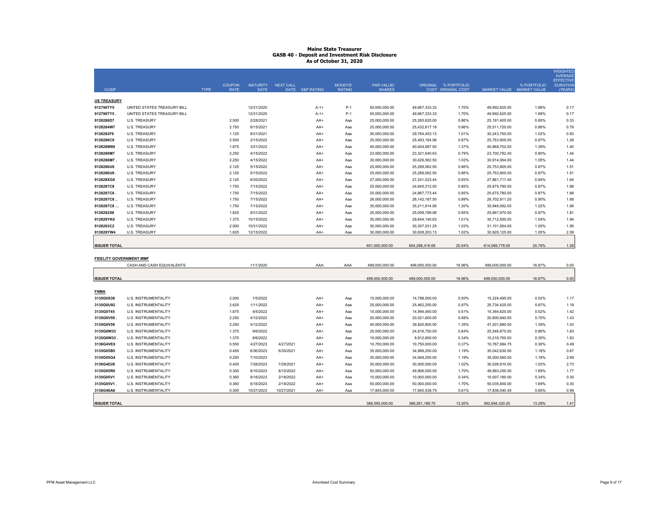| CUSIP                          |                             | <b>TYPE</b> | <b>COUPON</b><br><b>RATE</b> | <b>MATURITY</b><br><b>DATE</b> | <b>NEXT CALL</b> | DATE S&P RATING | MOODYS'<br><b>RATING</b> | PAR VALUE/<br><b>SHARES</b> |                 | ORIGINAL % PORTFOLIO<br>COST ORIGINAL COST | MARKET VALUE MARKET VALUE | % PORTFOLIO | <b>WEIGHTED</b><br><b>AVERAGE</b><br><b>EFFECTIVE</b><br><b>DURATION</b><br>(YEARS) |
|--------------------------------|-----------------------------|-------------|------------------------------|--------------------------------|------------------|-----------------|--------------------------|-----------------------------|-----------------|--------------------------------------------|---------------------------|-------------|-------------------------------------------------------------------------------------|
| <b>US TREASURY</b>             |                             |             |                              |                                |                  |                 |                          |                             |                 |                                            |                           |             |                                                                                     |
| 912796TY5                      | UNITED STATES TREASURY BILL |             |                              | 12/31/2020                     |                  | $A-1+$          | $P-1$                    | 50,000,000.00               | 49,967,333.33   | 1.70%                                      | 49,992,625.00             | 1.69%       | 0.17                                                                                |
| 912796TY5                      | UNITED STATES TREASURY BILL |             |                              | 12/31/2020                     |                  | $A - 1 +$       | $P-1$                    | 50,000,000.00               | 49,967,333.33   | 1.70%                                      | 49,992,625.00             | 1.69%       | 0.17                                                                                |
| 9128286D7                      | <b>U.S. TREASURY</b>        |             | 2.500                        | 2/28/2021                      |                  | AA+             | Aaa                      | 25,000,000.00               | 25,265,625.00   | 0.86%                                      | 25,191,405.00             | 0.85%       | 0.33                                                                                |
| 9128284W7                      | <b>U.S. TREASURY</b>        |             | 2.750                        | 8/15/2021                      |                  | AA+             | Aaa                      | 25,000,000.00               | 25,432,617.19   | 0.86%                                      | 25,511,720.00             | 0.86%       | 0.79                                                                                |
| 9128282F6                      | <b>U.S. TREASURY</b>        |             | 1.125                        | 8/31/2021                      |                  | AA+             | Ааа                      | 30,000,000.00               | 29,764,453.13   | 1.01%                                      | 30,243,750.00             | 1.02%       | 0.83                                                                                |
| 9128286C9                      | <b>U.S. TREASURY</b>        |             | 2.500                        | 2/15/2022                      |                  | AA+             | Aaa                      | 25,000,000.00               | 25,493,164.06   | 0.87%                                      | 25,753,905.00             | 0.87%       | 1.28                                                                                |
| 912828W89                      | <b>U.S. TREASURY</b>        |             | 1.875                        | 3/31/2022                      |                  | AA+             | Aaa                      | 40,000,000.00               | 40,404,687.50   | 1.37%                                      | 40,968,752.00             | 1.39%       | 1.40                                                                                |
| 9128286M7                      | <b>U.S. TREASURY</b>        |             | 2.250                        | 4/15/2022                      |                  | AA+             | Aaa                      | 23,000,000.00               | 23,321,640.63   | 0.79%                                      | 23,700,782.40             | 0.80%       | 1.44                                                                                |
| 9128286M7                      | <b>U.S. TREASURY</b>        |             | 2.250                        | 4/15/2022                      |                  | AA+             | Aaa                      | 30,000,000.00               | 30,426,562.50   | 1.03%                                      | 30,914,064.00             | 1.05%       | 1.44                                                                                |
| 9128286U9                      | <b>U.S. TREASURY</b>        |             | 2.125                        | 5/15/2022                      |                  | AA+             | Aaa                      | 25,000,000.00               | 25,289,062.50   | 0.86%                                      | 25,753,905.00             | 0.87%       | 1.51                                                                                |
| 9128286U9                      | <b>U.S. TREASURY</b>        |             | 2.125                        | 5/15/2022                      |                  | AA+             | Aaa                      | 25,000,000.00               | 25,289,062.50   | 0.86%                                      | 25,753,905.00             | 0.87%       | 1.51                                                                                |
| 912828XG0                      | <b>U.S. TREASURY</b>        |             | 2.125                        | 6/30/2022                      |                  | AA+             | Aaa                      | 27,000,000.00               | 27,241,523.44   | 0.93%                                      | 27,881,717.40             | 0.94%       | 1.64                                                                                |
| 9128287C8                      | <b>U.S. TREASURY</b>        |             | 1.750                        | 7/15/2022                      |                  | AA+             | Aaa                      | 25,000,000.00               | 24,945,312.50   | 0.85%                                      | 25,675,780.00             | 0.87%       | 1.68                                                                                |
| 9128287C8                      | <b>U.S. TREASURY</b>        |             | 1.750                        | 7/15/2022                      |                  | AA+             | Aaa                      | 25,000,000.00               | 24,967,773.44   | 0.85%                                      | 25,675,780.00             | 0.87%       | 1.68                                                                                |
| 9128287C8.                     | U.S. TREASURY               |             | 1.750                        | 7/15/2022                      |                  | AA+             | Aaa                      | 26,000,000.00               | 26, 142, 187.50 | 0.89%                                      | 26,702,811.20             | 0.90%       | 1.68                                                                                |
| 9128287C8                      | <b>U.S. TREASURY</b>        |             | 1.750                        | 7/15/2022                      |                  | AA+             | Aaa                      | 35,000,000.00               | 35,211,914.06   | 1.20%                                      | 35,946,092.00             | 1.22%       | 1.68                                                                                |
| 9128282S8                      | <b>U.S. TREASURY</b>        |             | 1.625                        | 8/31/2022                      |                  | AA+             | Aaa                      | 25,000,000.00               | 25,008,789.06   | 0.85%                                      | 25,667,970.00             | 0.87%       | 1.81                                                                                |
| 912828YK0                      | <b>U.S. TREASURY</b>        |             | 1.375                        | 10/15/2022                     |                  | AA+             | Aaa                      | 30,000,000.00               | 29,844,140.63   | 1.01%                                      | 30,712,500.00             | 1.04%       | 1.94                                                                                |
| 9128283C2                      | <b>U.S. TREASURY</b>        |             | 2.000                        | 10/31/2022                     |                  | AA+             | Aaa                      | 30,000,000.00               | 30,307,031.25   | 1.03%                                      | 31,101,564.00             | 1.05%       | 1.95                                                                                |
| 912828YW4                      | <b>U.S. TREASURY</b>        |             | 1.625                        | 12/15/2022                     |                  | AA+             | Aaa                      | 30,000,000.00               | 30,008,203.13   | 1.02%                                      | 30,928,125.00             | 1.05%       | 2.09                                                                                |
|                                |                             |             |                              |                                |                  |                 |                          |                             |                 |                                            |                           |             |                                                                                     |
| <b>ISSUER TOTAL</b>            |                             |             |                              |                                |                  |                 |                          | 601.000.000.00              | 604,298,416.68  | 20.54%                                     | 614,069,778.00            | 20.76%      | 1.28                                                                                |
|                                |                             |             |                              |                                |                  |                 |                          |                             |                 |                                            |                           |             |                                                                                     |
| <b>FIDELITY GOVERNMENT MMF</b> |                             |             |                              |                                |                  |                 |                          |                             |                 |                                            |                           |             |                                                                                     |
|                                | CASH AND CASH EQUIVALENTS   |             |                              | 11/1/2020                      |                  | AAA             | AAA                      | 499.000.000.00              | 499.000.000.00  | 16.96%                                     | 499.000.000.00            | 16.87%      | 0.00                                                                                |
| <b>ISSUER TOTAL</b>            |                             |             |                              |                                |                  |                 |                          | 499,000,000.00              | 499,000,000.00  | 16.96%                                     | 499,000,000.00            | 16.87%      | 0.00                                                                                |
|                                |                             |             |                              |                                |                  |                 |                          |                             |                 |                                            |                           |             |                                                                                     |
| <b>FNMA</b>                    |                             |             |                              |                                |                  |                 |                          |                             |                 |                                            |                           |             |                                                                                     |
| 3135G0S38                      | <b>U.S. INSTRUMENTALITY</b> |             | 2.000                        | 1/5/2022                       |                  | AA+             | Aaa                      | 15,000,000.00               | 14,788,500.00   | 0.50%                                      | 15,324,495.00             | 0.52%       | 1.17                                                                                |
| 3135G0U92                      | U.S. INSTRUMENTALITY        |             | 2.625                        | 1/11/2022                      |                  | AA+             | Aaa                      | 25,000,000.00               | 25,462,250.00   | 0.87%                                      | 25,734,425.00             | 0.87%       | 1.18                                                                                |
| 3135G0T45                      | U.S. INSTRUMENTALITY        |             | 1.875                        | 4/5/2022                       |                  | AA+             | Aaa                      | 15,000,000.00               | 14,994,450.00   | 0.51%                                      | 15,364,620.00             | 0.52%       | 1.42                                                                                |
| 3135G0V59                      | U.S. INSTRUMENTALITY        |             | 2.250                        | 4/12/2022                      |                  | AA+             | Aaa                      | 20,000,000.00               | 20,021,600.00   | 0.68%                                      | 20,600,940.00             | 0.70%       | 1.43                                                                                |
| 3135G0V59                      | U.S. INSTRUMENTALITY        |             | 2.250                        | 4/12/2022                      |                  | AA+             | Aaa                      | 40,000,000.00               | 39,820,800.00   | 1.35%                                      | 41,201,880.00             | 1.39%       | 1.43                                                                                |
| 3135G0W33                      | U.S. INSTRUMENTALITY        |             | 1.375                        | 9/6/2022                       |                  | AA+             | Aaa                      | 25,000,000.00               | 24,816,750.00   | 0.84%                                      | 25,546,875.00             | 0.86%       | 1.83                                                                                |
| 3135G0W33                      | U.S. INSTRUMENTALITY        |             | 1.375                        | 9/6/2022                       |                  | AA+             | Aaa                      | 10,000,000.00               | 9,912,800.00    | 0.34%                                      | 10,218,750.00             | 0.35%       | 1.83                                                                                |
| 3136G4VE0                      | U.S. INSTRUMENTALITY        |             | 0.550                        | 4/27/2023                      | 4/27/2021        | AA+             | Aaa                      | 10,750,000.00               | 10,750,000.00   | 0.37%                                      | 10,767,984.75             | 0.36%       | 0.49                                                                                |
| 3135G05B5                      | U.S. INSTRUMENTALITY        |             | 0.450                        | 6/30/2023                      | 6/30/2021        | AA+             | Aaa                      | 35,000,000.00               | 34,998,250.00   | 1.19%                                      | 35,042,630.00             | 1.18%       | 0.67                                                                                |
| 3135G05G4                      | U.S. INSTRUMENTALITY        |             | 0.250                        | 7/10/2023                      |                  | AA+             | Aaa                      | 35,000,000.00               | 34,949,250.00   | 1.19%                                      | 35,000,560.00             | 1.18%       | 2.69                                                                                |
| 3136G4D26                      | U.S. INSTRUMENTALITY        |             | 0.400                        | 7/28/2023                      | 7/28/2021        | AA+             | Ааа                      | 30,000,000.00               | 30,000,000.00   | 1.02%                                      | 30,026,910.00             | 1.02%       | 2.73                                                                                |
| 3135G05R0                      | U.S. INSTRUMENTALITY        |             | 0.300                        | 8/10/2023                      | 8/10/2022        | AA+             | Aaa                      | 50,000,000.00               | 49,906,000.00   | 1.70%                                      | 49,983,250.00             | 1.69%       | 1.77                                                                                |
| 3135G05V1                      | U.S. INSTRUMENTALITY        |             | 0.360                        | 8/18/2023                      | 2/18/2022        | AA+             | Aaa                      | 10,000,000.00               | 10,000,000.00   | 0.34%                                      | 10,007,160.00             | 0.34%       | 0.30                                                                                |
| 3135G05V1                      | U.S. INSTRUMENTALITY        |             | 0.360                        | 8/18/2023                      | 2/18/2022        | AA+             | Aaa                      | 50,000,000.00               | 50,000,000.00   | 1.70%                                      | 50,035,800.00             | 1.69%       | 0.30                                                                                |
| 3136G46A6                      | <b>U.S. INSTRUMENTALITY</b> |             | 0.300                        | 10/27/2023                     | 10/27/2021       | AA+             | Ааа                      | 17,845,000.00               | 17,840,538.75   | 0.61%                                      | 17,838,040.45             | 0.60%       | 0.99                                                                                |
|                                |                             |             |                              |                                |                  |                 |                          |                             |                 |                                            |                           |             |                                                                                     |
| <b>ISSUER TOTAL</b>            |                             |             |                              |                                |                  |                 |                          | 388,595,000.00              | 388,261,188.75  | 13.20%                                     | 392,694,320.20            | 13.28%      | 1.41                                                                                |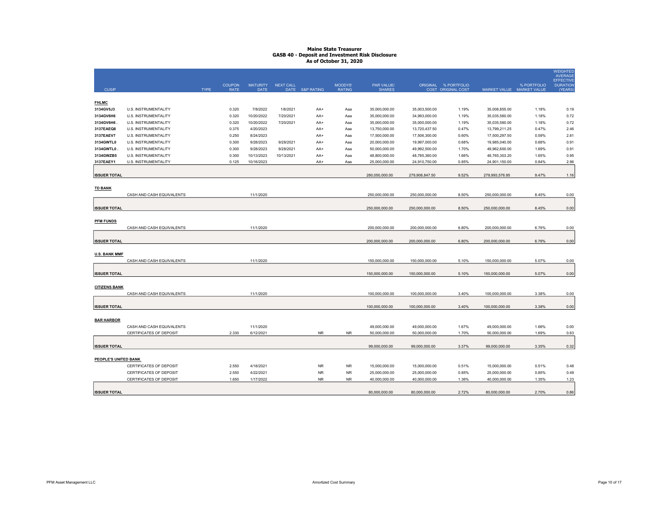|                      |                                |             |                              |                                |                  |                 |                          |                             |                |                                            |                |                                          | <b>WEIGHTED</b><br><b>AVERAGE</b> |
|----------------------|--------------------------------|-------------|------------------------------|--------------------------------|------------------|-----------------|--------------------------|-----------------------------|----------------|--------------------------------------------|----------------|------------------------------------------|-----------------------------------|
|                      |                                |             |                              |                                |                  |                 |                          |                             |                |                                            |                |                                          | <b>EFFECTIVE</b>                  |
| <b>CUSIP</b>         |                                | <b>TYPE</b> | <b>COUPON</b><br><b>RATE</b> | <b>MATURITY</b><br><b>DATE</b> | <b>NEXT CALL</b> | DATE S&P RATING | MOODYS'<br><b>RATING</b> | PAR VALUE/<br><b>SHARES</b> |                | ORIGINAL % PORTFOLIO<br>COST ORIGINAL COST |                | % PORTFOLIO<br>MARKET VALUE MARKET VALUE | <b>DURATION</b><br>(YEARS)        |
|                      |                                |             |                              |                                |                  |                 |                          |                             |                |                                            |                |                                          |                                   |
| <b>FHLMC</b>         |                                |             |                              |                                |                  |                 |                          |                             |                |                                            |                |                                          |                                   |
| 3134GV5J3            | U.S. INSTRUMENTALITY           |             | 0.320                        | 7/8/2022                       | 1/8/2021         | AA+             | Aaa                      | 35,000,000.00               | 35,003,500.00  | 1.19%                                      | 35,008,855.00  | 1.18%                                    | 0.19                              |
| 3134GV6H6            | U.S. INSTRUMENTALITY           |             | 0.320                        | 10/20/2022                     | 7/20/2021        | AA+             | Aaa                      | 35,000,000.00               | 34,993,000.00  | 1.19%                                      | 35,035,560.00  | 1.18%                                    | 0.72                              |
| 3134GV6H6.           | U.S. INSTRUMENTALITY           |             | 0.320                        | 10/20/2022                     | 7/20/2021        | AA+             | Aaa                      | 35,000,000.00               | 35,000,000.00  | 1.19%                                      | 35,035,560.00  | 1.18%                                    | 0.72                              |
| 3137EAEQ8            | U.S. INSTRUMENTALITY           |             | 0.375                        | 4/20/2023                      |                  | AA+             | Aaa                      | 13,750,000.00               | 13,720,437.50  | 0.47%                                      | 13,799,211.25  | 0.47%                                    | 2.46                              |
| 3137EAEV7            | U.S. INSTRUMENTALITY           |             | 0.250                        | 8/24/2023                      |                  | AA+             | Aaa                      | 17,500,000.00               | 17,506,300.00  | 0.60%                                      | 17,500,297.50  | 0.59%                                    | 2.81                              |
| 3134GWTL0            | U.S. INSTRUMENTALITY           |             | 0.300                        | 9/28/2023                      | 9/28/2021        | AA+             | Aaa                      | 20,000,000.00               | 19,997,000.00  | 0.68%                                      | 19,985,040.00  | 0.68%                                    | 0.91                              |
| 3134GWTL0            | U.S. INSTRUMENTALITY           |             | 0.300                        | 9/28/2023                      | 9/28/2021        | AA+             | Aaa                      | 50,000,000.00               | 49,992,500.00  | 1.70%                                      | 49,962,600.00  | 1.69%                                    | 0.91                              |
| 3134GWZB5            | U.S. INSTRUMENTALITY           |             | 0.300                        | 10/13/2023                     | 10/13/2021       | AA+             | Aaa                      | 48,800,000.00               | 48,785,360.00  | 1.66%                                      | 48,765,303.20  | 1.65%                                    | 0.95                              |
| 3137EAEY1            | U.S. INSTRUMENTALITY           |             | 0.125                        | 10/16/2023                     |                  | AA+             | Aaa                      | 25,000,000.00               | 24,910,750.00  | 0.85%                                      | 24,901,150.00  | 0.84%                                    | 2.96                              |
| <b>ISSUER TOTAL</b>  |                                |             |                              |                                |                  |                 |                          | 280,050,000.00              | 279,908,847.50 | 9.52%                                      | 279,993,576.95 | 9.47%                                    |                                   |
|                      |                                |             |                              |                                |                  |                 |                          |                             |                |                                            |                |                                          | 1.16                              |
| <b>TD BANK</b>       |                                |             |                              |                                |                  |                 |                          |                             |                |                                            |                |                                          |                                   |
|                      | CASH AND CASH EQUIVALENTS      |             |                              | 11/1/2020                      |                  |                 |                          | 250,000,000.00              | 250,000,000.00 | 8.50%                                      | 250,000,000.00 | 8.45%                                    | 0.00                              |
|                      |                                |             |                              |                                |                  |                 |                          |                             |                |                                            |                |                                          |                                   |
| <b>ISSUER TOTAL</b>  |                                |             |                              |                                |                  |                 |                          | 250,000,000.00              | 250,000,000.00 | 8.50%                                      | 250,000,000.00 | 8.45%                                    | 0.00                              |
|                      |                                |             |                              |                                |                  |                 |                          |                             |                |                                            |                |                                          |                                   |
| <b>PFM FUNDS</b>     |                                |             |                              |                                |                  |                 |                          |                             |                |                                            |                |                                          |                                   |
|                      | CASH AND CASH EQUIVALENTS      |             |                              | 11/1/2020                      |                  |                 |                          | 200,000,000.00              | 200,000,000.00 | 6.80%                                      | 200,000,000.00 | 6.76%                                    | 0.00                              |
|                      |                                |             |                              |                                |                  |                 |                          |                             |                |                                            |                |                                          |                                   |
| <b>ISSUER TOTAL</b>  |                                |             |                              |                                |                  |                 |                          | 200,000,000.00              | 200,000,000.00 | 6.80%                                      | 200,000,000.00 | 6.76%                                    | 0.00                              |
|                      |                                |             |                              |                                |                  |                 |                          |                             |                |                                            |                |                                          |                                   |
| <b>U.S. BANK MMF</b> |                                |             |                              |                                |                  |                 |                          |                             |                |                                            |                |                                          |                                   |
|                      | CASH AND CASH EQUIVALENTS      |             |                              | 11/1/2020                      |                  |                 |                          | 150,000,000.00              | 150,000,000.00 | 5.10%                                      | 150,000,000.00 | 5.07%                                    | 0.00                              |
|                      |                                |             |                              |                                |                  |                 |                          |                             |                |                                            |                |                                          |                                   |
| <b>ISSUER TOTAL</b>  |                                |             |                              |                                |                  |                 |                          | 150,000,000.00              | 150,000,000.00 | 5.10%                                      | 150,000,000.00 | 5.07%                                    | 0.00                              |
|                      |                                |             |                              |                                |                  |                 |                          |                             |                |                                            |                |                                          |                                   |
| <b>CITIZENS BANK</b> |                                |             |                              |                                |                  |                 |                          |                             |                |                                            |                |                                          |                                   |
|                      | CASH AND CASH EQUIVALENTS      |             |                              | 11/1/2020                      |                  |                 |                          | 100,000,000.00              | 100,000,000.00 | 3.40%                                      | 100,000,000.00 | 3.38%                                    | 0.00                              |
| <b>ISSUER TOTAL</b>  |                                |             |                              |                                |                  |                 |                          | 100,000,000.00              | 100,000,000.00 | 3.40%                                      | 100,000,000.00 | 3.38%                                    | 0.00                              |
|                      |                                |             |                              |                                |                  |                 |                          |                             |                |                                            |                |                                          |                                   |
| <b>BAR HARBOR</b>    |                                |             |                              |                                |                  |                 |                          |                             |                |                                            |                |                                          |                                   |
|                      | CASH AND CASH EQUIVALENTS      |             |                              | 11/1/2020                      |                  |                 |                          | 49,000,000.00               | 49,000,000.00  | 1.67%                                      | 49,000,000.00  | 1.66%                                    | 0.00                              |
|                      | CERTIFICATES OF DEPOSIT        |             | 2.330                        | 6/12/2021                      |                  | <b>NR</b>       | <b>NR</b>                | 50,000,000.00               | 50,000,000.00  | 1.70%                                      | 50,000,000.00  | 1.69%                                    | 0.63                              |
|                      |                                |             |                              |                                |                  |                 |                          |                             |                |                                            |                |                                          |                                   |
| <b>ISSUER TOTAL</b>  |                                |             |                              |                                |                  |                 |                          | 99,000,000.00               | 99,000,000.00  | 3.37%                                      | 99,000,000.00  | 3.35%                                    | 0.32                              |
|                      |                                |             |                              |                                |                  |                 |                          |                             |                |                                            |                |                                          |                                   |
| PEOPLE'S UNITED BANK |                                |             |                              |                                |                  |                 |                          |                             |                |                                            |                |                                          |                                   |
|                      | CERTIFICATES OF DEPOSIT        |             | 2.550                        | 4/18/2021                      |                  | <b>NR</b>       | <b>NR</b>                | 15,000,000.00               | 15,000,000.00  | 0.51%                                      | 15,000,000.00  | 0.51%                                    | 0.48                              |
|                      | CERTIFICATES OF DEPOSIT        |             | 2.550                        | 4/22/2021                      |                  | <b>NR</b>       | <b>NR</b>                | 25,000,000.00               | 25,000,000.00  | 0.85%                                      | 25,000,000.00  | 0.85%                                    | 0.49                              |
|                      | <b>CERTIFICATES OF DEPOSIT</b> |             | 1.650                        | 1/17/2022                      |                  | <b>NR</b>       | <b>NR</b>                | 40,000,000.00               | 40,000,000.00  | 1.36%                                      | 40,000,000.00  | 1.35%                                    | 1.23                              |
|                      |                                |             |                              |                                |                  |                 |                          |                             |                |                                            |                |                                          |                                   |
| <b>ISSUER TOTAL</b>  |                                |             |                              |                                |                  |                 |                          | 80,000,000.00               | 80,000,000.00  | 2.72%                                      | 80,000,000.00  | 2.70%                                    | 0.86                              |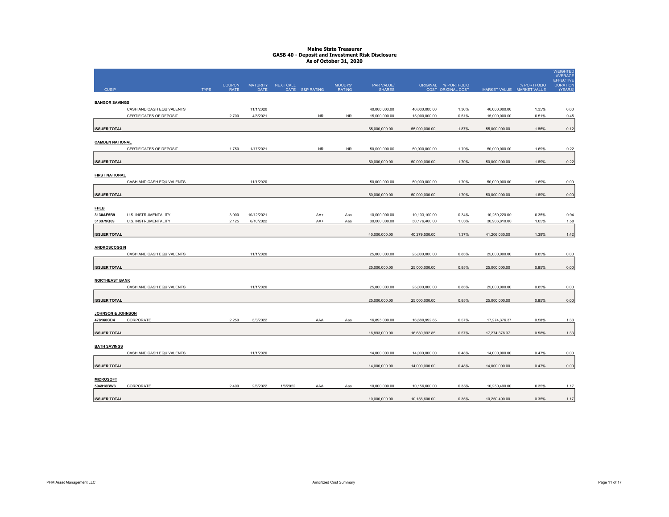|                              |                                                      |             |                              |                                |                  |                 |                          |                                |                                |                                            |                                |                | <b>WEIGHTED</b><br><b>AVERAGE</b><br>EFFECTIVE |
|------------------------------|------------------------------------------------------|-------------|------------------------------|--------------------------------|------------------|-----------------|--------------------------|--------------------------------|--------------------------------|--------------------------------------------|--------------------------------|----------------|------------------------------------------------|
| <b>CUSIP</b>                 |                                                      | <b>TYPE</b> | <b>COUPON</b><br><b>RATE</b> | <b>MATURITY</b><br><b>DATE</b> | <b>NEXT CALL</b> | DATE S&P RATING | MOODYS'<br><b>RATING</b> | PAR VALUE/<br><b>SHARES</b>    |                                | ORIGINAL % PORTFOLIO<br>COST ORIGINAL COST | MARKET VALUE MARKET VALUE      | % PORTFOLIO    | <b>DURATION</b><br>(YEARS)                     |
|                              |                                                      |             |                              |                                |                  |                 |                          |                                |                                |                                            |                                |                |                                                |
| <b>BANGOR SAVINGS</b>        |                                                      |             |                              |                                |                  |                 |                          |                                |                                |                                            |                                |                |                                                |
|                              | CASH AND CASH EQUIVALENTS<br>CERTIFICATES OF DEPOSIT |             | 2.700                        | 11/1/2020<br>4/8/2021          |                  | <b>NR</b>       | <b>NR</b>                | 40,000,000.00<br>15,000,000.00 | 40,000,000.00<br>15,000,000.00 | 1.36%<br>0.51%                             | 40,000,000.00<br>15,000,000.00 | 1.35%<br>0.51% | 0.00<br>0.45                                   |
|                              |                                                      |             |                              |                                |                  |                 |                          |                                |                                |                                            |                                |                |                                                |
| <b>ISSUER TOTAL</b>          |                                                      |             |                              |                                |                  |                 |                          | 55,000,000.00                  | 55,000,000.00                  | 1.87%                                      | 55,000,000.00                  | 1.86%          | 0.12                                           |
|                              |                                                      |             |                              |                                |                  |                 |                          |                                |                                |                                            |                                |                |                                                |
| <b>CAMDEN NATIONAL</b>       | CERTIFICATES OF DEPOSIT                              |             | 1.750                        | 1/17/2021                      |                  | <b>NR</b>       | <b>NR</b>                | 50,000,000.00                  | 50,000,000.00                  | 1.70%                                      | 50,000,000.00                  | 1.69%          | 0.22                                           |
|                              |                                                      |             |                              |                                |                  |                 |                          |                                |                                |                                            |                                |                |                                                |
| <b>ISSUER TOTAL</b>          |                                                      |             |                              |                                |                  |                 |                          | 50,000,000.00                  | 50,000,000.00                  | 1.70%                                      | 50,000,000.00                  | 1.69%          | 0.22                                           |
|                              |                                                      |             |                              |                                |                  |                 |                          |                                |                                |                                            |                                |                |                                                |
| <b>FIRST NATIONAL</b>        | CASH AND CASH EQUIVALENTS                            |             |                              | 11/1/2020                      |                  |                 |                          | 50,000,000.00                  | 50,000,000.00                  | 1.70%                                      | 50,000,000.00                  | 1.69%          | 0.00                                           |
|                              |                                                      |             |                              |                                |                  |                 |                          |                                |                                |                                            |                                |                |                                                |
| <b>ISSUER TOTAL</b>          |                                                      |             |                              |                                |                  |                 |                          | 50,000,000.00                  | 50,000,000.00                  | 1.70%                                      | 50,000,000.00                  | 1.69%          | 0.00                                           |
|                              |                                                      |             |                              |                                |                  |                 |                          |                                |                                |                                            |                                |                |                                                |
| <b>FHLB</b><br>3130AF5B9     | U.S. INSTRUMENTALITY                                 |             | 3.000                        | 10/12/2021                     |                  | AA+             | Aaa                      | 10,000,000.00                  | 10,103,100.00                  | 0.34%                                      | 10,269,220.00                  | 0.35%          | 0.94                                           |
| 313379Q69                    | U.S. INSTRUMENTALITY                                 |             | 2.125                        | 6/10/2022                      |                  | AA+             | Aaa                      | 30,000,000.00                  | 30,176,400.00                  | 1.03%                                      | 30,936,810.00                  | 1.05%          | 1.58                                           |
|                              |                                                      |             |                              |                                |                  |                 |                          |                                |                                |                                            |                                |                |                                                |
| <b>ISSUER TOTAL</b>          |                                                      |             |                              |                                |                  |                 |                          | 40,000,000.00                  | 40,279,500.00                  | 1.37%                                      | 41,206,030.00                  | 1.39%          | 1.42                                           |
| <b>ANDROSCOGGIN</b>          |                                                      |             |                              |                                |                  |                 |                          |                                |                                |                                            |                                |                |                                                |
|                              | CASH AND CASH EQUIVALENTS                            |             |                              | 11/1/2020                      |                  |                 |                          | 25,000,000.00                  | 25,000,000.00                  | 0.85%                                      | 25,000,000.00                  | 0.85%          | 0.00                                           |
|                              |                                                      |             |                              |                                |                  |                 |                          |                                |                                |                                            |                                |                |                                                |
| <b>ISSUER TOTAL</b>          |                                                      |             |                              |                                |                  |                 |                          | 25,000,000.00                  | 25,000,000.00                  | 0.85%                                      | 25,000,000.00                  | 0.85%          | 0.00                                           |
| <b>NORTHEAST BANK</b>        |                                                      |             |                              |                                |                  |                 |                          |                                |                                |                                            |                                |                |                                                |
|                              | CASH AND CASH EQUIVALENTS                            |             |                              | 11/1/2020                      |                  |                 |                          | 25,000,000.00                  | 25,000,000.00                  | 0.85%                                      | 25,000,000.00                  | 0.85%          | 0.00                                           |
|                              |                                                      |             |                              |                                |                  |                 |                          |                                |                                |                                            |                                |                |                                                |
| <b>ISSUER TOTAL</b>          |                                                      |             |                              |                                |                  |                 |                          | 25,000,000.00                  | 25,000,000.00                  | 0.85%                                      | 25,000,000.00                  | 0.85%          | 0.00                                           |
| <b>JOHNSON &amp; JOHNSON</b> |                                                      |             |                              |                                |                  |                 |                          |                                |                                |                                            |                                |                |                                                |
| 478160CD4                    | CORPORATE                                            |             | 2.250                        | 3/3/2022                       |                  | AAA             | Aaa                      | 16.893.000.00                  | 16.680.992.85                  | 0.57%                                      | 17,274,376.37                  | 0.58%          | 1.33                                           |
|                              |                                                      |             |                              |                                |                  |                 |                          |                                |                                |                                            |                                |                |                                                |
| <b>ISSUER TOTAL</b>          |                                                      |             |                              |                                |                  |                 |                          | 16,893,000.00                  | 16,680,992.85                  | 0.57%                                      | 17,274,376.37                  | 0.58%          | 1.33                                           |
| <b>BATH SAVINGS</b>          |                                                      |             |                              |                                |                  |                 |                          |                                |                                |                                            |                                |                |                                                |
|                              | CASH AND CASH EQUIVALENTS                            |             |                              | 11/1/2020                      |                  |                 |                          | 14,000,000.00                  | 14,000,000.00                  | 0.48%                                      | 14,000,000.00                  | 0.47%          | 0.00                                           |
|                              |                                                      |             |                              |                                |                  |                 |                          |                                |                                |                                            |                                |                |                                                |
| <b>ISSUER TOTAL</b>          |                                                      |             |                              |                                |                  |                 |                          | 14,000,000.00                  | 14,000,000.00                  | 0.48%                                      | 14,000,000.00                  | 0.47%          | 0.00                                           |
| <b>MICROSOFT</b>             |                                                      |             |                              |                                |                  |                 |                          |                                |                                |                                            |                                |                |                                                |
| 594918BW3                    | CORPORATE                                            |             | 2.400                        | 2/6/2022                       | 1/6/2022         | AAA             | Aaa                      | 10,000,000.00                  | 10,156,600.00                  | 0.35%                                      | 10,250,490.00                  | 0.35%          | 1.17                                           |
|                              |                                                      |             |                              |                                |                  |                 |                          |                                |                                |                                            |                                |                |                                                |
| <b>ISSUER TOTAL</b>          |                                                      |             |                              |                                |                  |                 |                          | 10,000,000.00                  | 10,156,600.00                  | 0.35%                                      | 10,250,490.00                  | 0.35%          | 1.17                                           |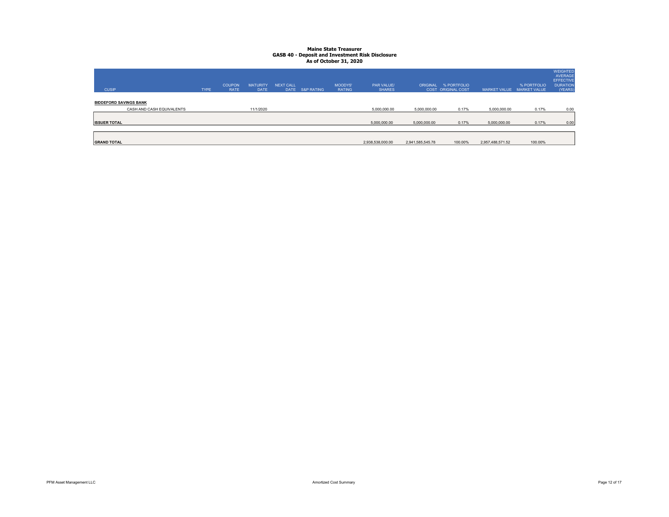| <b>CUSIP</b>                  |                           | <b>TYPE</b> | <b>COUPON</b><br><b>RATE</b> | <b>MATURITY</b><br><b>DATE</b> | <b>NEXT CALL</b><br><b>DATE</b> | <b>S&amp;P RATING</b> | MOODYS'<br><b>RATING</b> | PAR VALUE/<br><b>SHARES</b> |                  | ORIGINAL % PORTFOLIO<br>COST ORIGINAL COST | <b>MARKET VALUE</b> | % PORTFOLIO<br><b>MARKET VALUE</b> | WEIGHTED<br><b>AVERAGE</b><br><b>EFFECTIVE</b><br><b>DURATION</b><br>(YEARS) |
|-------------------------------|---------------------------|-------------|------------------------------|--------------------------------|---------------------------------|-----------------------|--------------------------|-----------------------------|------------------|--------------------------------------------|---------------------|------------------------------------|------------------------------------------------------------------------------|
| <b>BIDDEFORD SAVINGS BANK</b> | CASH AND CASH EQUIVALENTS |             |                              | 11/1/2020                      |                                 |                       |                          | 5,000,000.00                | 5,000,000.00     | 0.17%                                      | 5,000,000.00        | 0.17%                              | 0.00                                                                         |
|                               |                           |             |                              |                                |                                 |                       |                          |                             |                  |                                            |                     |                                    |                                                                              |
| <b>ISSUER TOTAL</b>           |                           |             |                              |                                |                                 |                       |                          | 5,000,000.00                | 5,000,000.00     | 0.17%                                      | 5,000,000.00        | 0.17%                              | 0.00                                                                         |
|                               |                           |             |                              |                                |                                 |                       |                          |                             |                  |                                            |                     |                                    |                                                                              |
| <b>GRAND TOTAL</b>            |                           |             |                              |                                |                                 |                       |                          | 2,938,538,000.00            | 2,941,585,545.78 | 100.00%                                    | 2,957,488,571.52    | 100.00%                            |                                                                              |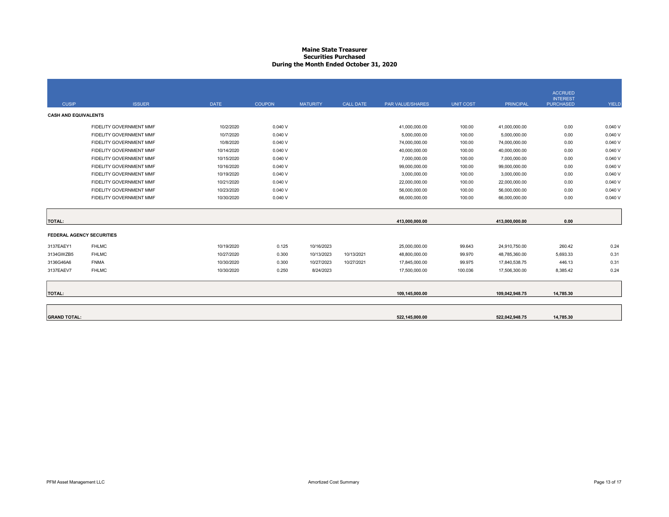#### Maine State Treasurer Securities Purchased During the Month Ended October 31, 2020

|                                  |                         |             |               |                 |                  |                  |                  |                  | <b>ACCRUED</b><br><b>INTEREST</b> |        |
|----------------------------------|-------------------------|-------------|---------------|-----------------|------------------|------------------|------------------|------------------|-----------------------------------|--------|
| <b>CUSIP</b>                     | <b>ISSUER</b>           | <b>DATE</b> | <b>COUPON</b> | <b>MATURITY</b> | <b>CALL DATE</b> | PAR VALUE/SHARES | <b>UNIT COST</b> | <b>PRINCIPAL</b> | <b>PURCHASED</b>                  | YIELD  |
| <b>CASH AND EQUIVALENTS</b>      |                         |             |               |                 |                  |                  |                  |                  |                                   |        |
|                                  | FIDELITY GOVERNMENT MMF | 10/2/2020   | 0.040V        |                 |                  | 41,000,000.00    | 100.00           | 41,000,000.00    | 0.00                              | 0.040V |
|                                  | FIDELITY GOVERNMENT MMF | 10/7/2020   | 0.040V        |                 |                  | 5,000,000.00     | 100.00           | 5,000,000.00     | 0.00                              | 0.040V |
|                                  | FIDELITY GOVERNMENT MMF | 10/8/2020   | 0.040V        |                 |                  | 74,000,000.00    | 100.00           | 74,000,000.00    | 0.00                              | 0.040V |
|                                  | FIDELITY GOVERNMENT MMF | 10/14/2020  | 0.040V        |                 |                  | 40,000,000.00    | 100.00           | 40,000,000.00    | 0.00                              | 0.040V |
|                                  | FIDELITY GOVERNMENT MMF | 10/15/2020  | 0.040V        |                 |                  | 7,000,000.00     | 100.00           | 7,000,000.00     | 0.00                              | 0.040V |
|                                  | FIDELITY GOVERNMENT MMF | 10/16/2020  | 0.040V        |                 |                  | 99,000,000.00    | 100.00           | 99,000,000.00    | 0.00                              | 0.040V |
|                                  | FIDELITY GOVERNMENT MMF | 10/19/2020  | 0.040V        |                 |                  | 3,000,000.00     | 100.00           | 3,000,000.00     | 0.00                              | 0.040V |
|                                  | FIDELITY GOVERNMENT MMF | 10/21/2020  | 0.040V        |                 |                  | 22,000,000.00    | 100.00           | 22,000,000.00    | 0.00                              | 0.040V |
|                                  | FIDELITY GOVERNMENT MMF | 10/23/2020  | 0.040V        |                 |                  | 56,000,000.00    | 100.00           | 56,000,000.00    | 0.00                              | 0.040V |
|                                  | FIDELITY GOVERNMENT MMF | 10/30/2020  | 0.040V        |                 |                  | 66,000,000.00    | 100.00           | 66,000,000.00    | 0.00                              | 0.040V |
|                                  |                         |             |               |                 |                  |                  |                  |                  |                                   |        |
| <b>TOTAL:</b>                    |                         |             |               |                 |                  | 413.000.000.00   |                  | 413,000,000.00   | 0.00                              |        |
| <b>FEDERAL AGENCY SECURITIES</b> |                         |             |               |                 |                  |                  |                  |                  |                                   |        |
| 3137EAEY1                        | <b>FHLMC</b>            | 10/19/2020  | 0.125         | 10/16/2023      |                  | 25,000,000.00    | 99.643           | 24,910,750.00    | 260.42                            | 0.24   |
| 3134GWZB5                        | <b>FHLMC</b>            | 10/27/2020  | 0.300         | 10/13/2023      | 10/13/2021       | 48,800,000.00    | 99.970           | 48,785,360.00    | 5,693.33                          | 0.31   |
| 3136G46A6                        | <b>FNMA</b>             | 10/30/2020  | 0.300         | 10/27/2023      | 10/27/2021       | 17,845,000.00    | 99.975           | 17.840.538.75    | 446.13                            | 0.31   |
| 3137EAEV7                        | <b>FHLMC</b>            | 10/30/2020  | 0.250         | 8/24/2023       |                  | 17,500,000.00    | 100.036          | 17,506,300.00    | 8,385.42                          | 0.24   |
|                                  |                         |             |               |                 |                  |                  |                  |                  |                                   |        |
| <b>TOTAL:</b>                    |                         |             |               |                 |                  | 109,145,000.00   |                  | 109,042,948.75   | 14,785.30                         |        |
|                                  |                         |             |               |                 |                  |                  |                  |                  |                                   |        |
| <b>GRAND TOTAL:</b>              |                         |             |               |                 |                  | 522.145.000.00   |                  | 522.042.948.75   | 14.785.30                         |        |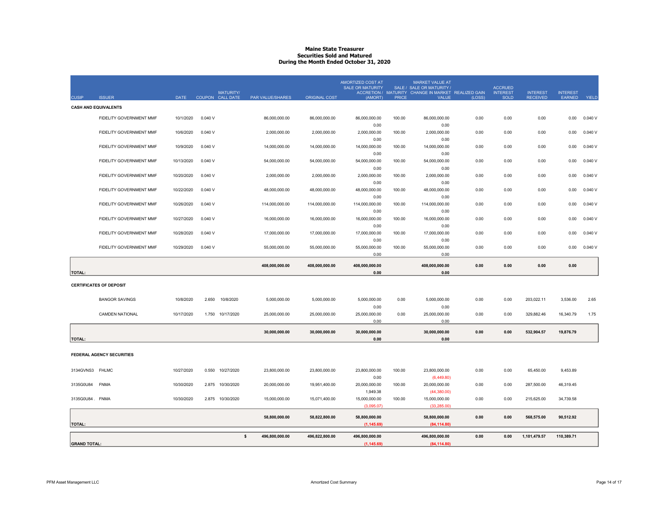# Maine State Treasurer Securities Sold and Matured During the Month Ended October 31, 2020

| <b>CUSIP</b>    | <b>ISSUER</b>                  | <b>DATE</b> |        | <b>MATURITY/</b><br>COUPON CALL DATE | PAR VALUE/SHARES | <b>ORIGINAL COST</b> | AMORTIZED COST AT<br><b>SALE OR MATURITY</b><br>(AMORT) | <b>PRICE</b> | <b>MARKET VALUE AT</b><br>SALE / SALE OR MATURITY /<br>ACCRETION / MATURITY CHANGE IN MARKET REALIZED GAIN<br><b>VALUE</b> | (LOSS) | <b>ACCRUED</b><br><b>INTEREST</b><br><b>SOLD</b> | <b>INTEREST</b><br><b>RECEIVED</b> | <b>INTEREST</b><br>EARNED | <b>YIELD</b> |
|-----------------|--------------------------------|-------------|--------|--------------------------------------|------------------|----------------------|---------------------------------------------------------|--------------|----------------------------------------------------------------------------------------------------------------------------|--------|--------------------------------------------------|------------------------------------|---------------------------|--------------|
|                 | <b>CASH AND EQUIVALENTS</b>    |             |        |                                      |                  |                      |                                                         |              |                                                                                                                            |        |                                                  |                                    |                           |              |
|                 | FIDELITY GOVERNMENT MMF        | 10/1/2020   | 0.040V |                                      | 86,000,000.00    | 86,000,000.00        | 86,000,000.00                                           | 100.00       | 86,000,000.00                                                                                                              | 0.00   | 0.00                                             | 0.00                               | 0.00                      | 0.040V       |
|                 |                                |             |        |                                      |                  |                      | 0.00                                                    |              | 0.00                                                                                                                       |        |                                                  |                                    |                           |              |
|                 | FIDELITY GOVERNMENT MMF        | 10/6/2020   | 0.040V |                                      | 2,000,000.00     | 2,000,000.00         | 2,000,000.00                                            | 100.00       | 2,000,000.00                                                                                                               | 0.00   | 0.00                                             | 0.00                               | 0.00                      | 0.040V       |
|                 |                                |             |        |                                      |                  |                      | 0.00                                                    |              | 0.00                                                                                                                       |        |                                                  |                                    |                           |              |
|                 | FIDELITY GOVERNMENT MMF        | 10/9/2020   | 0.040V |                                      | 14,000,000.00    | 14,000,000.00        | 14,000,000.00<br>0.00                                   | 100.00       | 14,000,000.00<br>0.00                                                                                                      | 0.00   | 0.00                                             | 0.00                               | 0.00                      | 0.040V       |
|                 | FIDELITY GOVERNMENT MMF        | 10/13/2020  | 0.040V |                                      | 54,000,000.00    | 54,000,000.00        | 54,000,000.00                                           | 100.00       | 54,000,000.00                                                                                                              | 0.00   | 0.00                                             | 0.00                               | 0.00                      | 0.040 V      |
|                 |                                |             |        |                                      |                  |                      | 0.00                                                    |              | 0.00                                                                                                                       |        |                                                  |                                    |                           |              |
|                 | FIDELITY GOVERNMENT MMF        | 10/20/2020  | 0.040V |                                      | 2,000,000.00     | 2,000,000.00         | 2,000,000.00                                            | 100.00       | 2,000,000.00                                                                                                               | 0.00   | 0.00                                             | 0.00                               | 0.00                      | 0.040V       |
|                 |                                |             |        |                                      |                  |                      | 0.00                                                    |              | 0.00                                                                                                                       |        |                                                  |                                    |                           |              |
|                 | FIDELITY GOVERNMENT MMF        | 10/22/2020  | 0.040V |                                      | 48,000,000.00    | 48,000,000.00        | 48,000,000.00                                           | 100.00       | 48,000,000.00                                                                                                              | 0.00   | 0.00                                             | 0.00                               | 0.00                      | 0.040V       |
|                 | FIDELITY GOVERNMENT MMF        | 10/26/2020  | 0.040V |                                      | 114,000,000.00   | 114,000,000.00       | 0.00                                                    | 100.00       | 0.00                                                                                                                       | 0.00   | 0.00                                             | 0.00                               | 0.00                      | 0.040V       |
|                 |                                |             |        |                                      |                  |                      | 114,000,000.00<br>0.00                                  |              | 114,000,000.00<br>0.00                                                                                                     |        |                                                  |                                    |                           |              |
|                 | FIDELITY GOVERNMENT MMF        | 10/27/2020  | 0.040V |                                      | 16,000,000.00    | 16,000,000.00        | 16,000,000.00                                           | 100.00       | 16,000,000.00                                                                                                              | 0.00   | 0.00                                             | 0.00                               | 0.00                      | 0.040V       |
|                 |                                |             |        |                                      |                  |                      | 0.00                                                    |              | 0.00                                                                                                                       |        |                                                  |                                    |                           |              |
|                 | FIDELITY GOVERNMENT MMF        | 10/28/2020  | 0.040V |                                      | 17,000,000.00    | 17,000,000.00        | 17,000,000.00                                           | 100.00       | 17,000,000.00                                                                                                              | 0.00   | 0.00                                             | 0.00                               | 0.00                      | 0.040V       |
|                 |                                |             |        |                                      |                  |                      | 0.00                                                    |              | 0.00                                                                                                                       |        |                                                  |                                    |                           |              |
|                 | FIDELITY GOVERNMENT MMF        | 10/29/2020  | 0.040V |                                      | 55,000,000.00    | 55,000,000.00        | 55,000,000.00                                           | 100.00       | 55,000,000.00                                                                                                              | 0.00   | 0.00                                             | 0.00                               | 0.00                      | 0.040V       |
|                 |                                |             |        |                                      |                  |                      | 0.00                                                    |              | 0.00                                                                                                                       |        |                                                  |                                    |                           |              |
|                 |                                |             |        |                                      |                  |                      |                                                         |              | 408,000,000.00                                                                                                             | 0.00   | 0.00                                             | 0.00                               | 0.00                      |              |
|                 |                                |             |        |                                      | 408,000,000.00   | 408,000,000.00       | 408,000,000.00                                          |              |                                                                                                                            |        |                                                  |                                    |                           |              |
| <b>TOTAL:</b>   |                                |             |        |                                      |                  |                      | 0.00                                                    |              | 0.00                                                                                                                       |        |                                                  |                                    |                           |              |
|                 | <b>CERTIFICATES OF DEPOSIT</b> |             |        |                                      |                  |                      |                                                         |              |                                                                                                                            |        |                                                  |                                    |                           |              |
|                 |                                |             |        |                                      |                  |                      |                                                         |              |                                                                                                                            |        |                                                  |                                    |                           |              |
|                 | <b>BANGOR SAVINGS</b>          | 10/8/2020   | 2.650  | 10/8/2020                            | 5,000,000.00     | 5,000,000.00         | 5,000,000.00                                            | 0.00         | 5,000,000.00                                                                                                               | 0.00   | 0.00                                             | 203,022.11                         | 3,536.00                  | 2.65         |
|                 |                                |             |        |                                      |                  |                      | 0.00                                                    |              | 0.00                                                                                                                       |        |                                                  |                                    |                           |              |
|                 | <b>CAMDEN NATIONAL</b>         | 10/17/2020  |        | 1.750 10/17/2020                     | 25,000,000.00    | 25,000,000.00        | 25,000,000.00                                           | 0.00         | 25,000,000.00                                                                                                              | 0.00   | 0.00                                             | 329,882.46                         | 16,340.79                 | 1.75         |
|                 |                                |             |        |                                      |                  |                      | 0.00                                                    |              | 0.00                                                                                                                       |        |                                                  |                                    |                           |              |
|                 |                                |             |        |                                      | 30,000,000.00    | 30,000,000.00        | 30,000,000.00                                           |              | 30,000,000.00                                                                                                              | 0.00   | 0.00                                             | 532,904.57                         | 19,876.79                 |              |
| <b>TOTAL:</b>   |                                |             |        |                                      |                  |                      | 0.00                                                    |              | 0.00                                                                                                                       |        |                                                  |                                    |                           |              |
|                 |                                |             |        |                                      |                  |                      |                                                         |              |                                                                                                                            |        |                                                  |                                    |                           |              |
|                 | FEDERAL AGENCY SECURITIES      |             |        |                                      |                  |                      |                                                         |              |                                                                                                                            |        |                                                  |                                    |                           |              |
| 3134GVNS3 FHLMC |                                | 10/27/2020  |        |                                      | 23,800,000.00    |                      |                                                         |              |                                                                                                                            | 0.00   |                                                  |                                    |                           |              |
|                 |                                |             |        | 0.550 10/27/2020                     |                  | 23,800,000.00        | 23,800,000.00<br>0.00                                   | 100.00       | 23,800,000.00<br>(6,449.80)                                                                                                |        | 0.00                                             | 65,450.00                          | 9,453.89                  |              |
| 3135G0U84       | <b>FNMA</b>                    | 10/30/2020  |        | 2.875 10/30/2020                     | 20,000,000.00    | 19,951,400.00        | 20,000,000.00                                           | 100.00       | 20,000,000.00                                                                                                              | 0.00   | 0.00                                             | 287,500.00                         | 46,319.45                 |              |
|                 |                                |             |        |                                      |                  |                      | 1,949.38                                                |              | (44, 380.00)                                                                                                               |        |                                                  |                                    |                           |              |
| 3135G0U84. FNMA |                                | 10/30/2020  |        | 2.875 10/30/2020                     | 15,000,000.00    | 15,071,400.00        | 15,000,000.00                                           | 100.00       | 15,000,000.00                                                                                                              | 0.00   | 0.00                                             | 215,625.00                         | 34,739.58                 |              |
|                 |                                |             |        |                                      |                  |                      | (3.095.07)                                              |              | (33.285.00)                                                                                                                |        |                                                  |                                    |                           |              |
|                 |                                |             |        |                                      | 58,800,000.00    | 58.822.800.00        | 58,800,000.00                                           |              | 58.800.000.00                                                                                                              | 0.00   | 0.00                                             | 568,575.00                         | 90.512.92                 |              |
| <b>TOTAL:</b>   |                                |             |        |                                      |                  |                      | (1, 145.69)                                             |              | (84, 114.80)                                                                                                               |        |                                                  |                                    |                           |              |
|                 |                                |             |        | \$                                   | 496,800,000.00   | 496,822,800.00       | 496,800,000.00                                          |              | 496,800,000.00                                                                                                             | 0.00   | 0.00                                             | 1,101,479.57                       | 110,389.71                |              |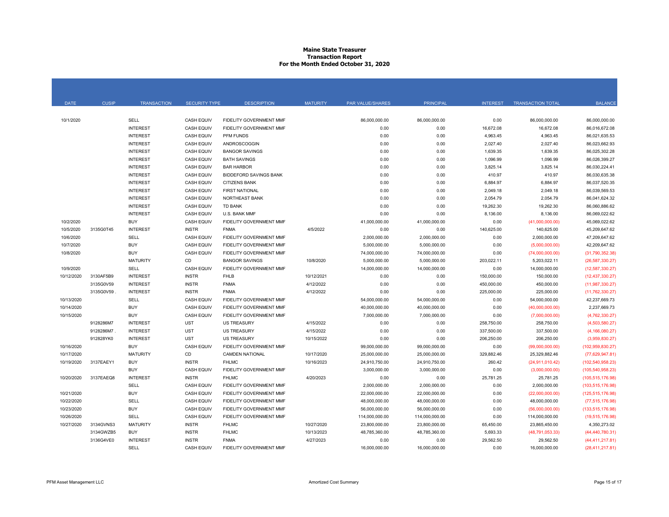#### Maine State Treasurer Transaction Report For the Month Ended October 31, 2020

| <b>DATE</b> | <b>CUSIP</b> | <b>TRANSACTION</b> | <b>SECURITY TYPE</b> | <b>DESCRIPTION</b>             | <b>MATURITY</b> | PAR VALUE/SHARES | <b>PRINCIPAL</b> | <b>INTEREST</b> | <b>TRANSACTION TOTAL</b> | <b>BALANCE</b>     |
|-------------|--------------|--------------------|----------------------|--------------------------------|-----------------|------------------|------------------|-----------------|--------------------------|--------------------|
|             |              |                    |                      |                                |                 |                  |                  |                 |                          |                    |
| 10/1/2020   |              | SELL               | <b>CASH EQUIV</b>    | FIDELITY GOVERNMENT MMF        |                 | 86,000,000.00    | 86,000,000.00    | 0.00            | 86,000,000.00            | 86.000.000.00      |
|             |              | <b>INTEREST</b>    | <b>CASH EQUIV</b>    | FIDELITY GOVERNMENT MMF        |                 | 0.00             | 0.00             | 16,672.08       | 16,672.08                | 86,016,672.08      |
|             |              | <b>INTEREST</b>    | <b>CASH EQUIV</b>    | <b>PFM FUNDS</b>               |                 | 0.00             | 0.00             | 4,963.45        | 4,963.45                 | 86,021,635.53      |
|             |              | <b>INTEREST</b>    | <b>CASH EQUIV</b>    | ANDROSCOGGIN                   |                 | 0.00             | 0.00             | 2,027.40        | 2,027.40                 | 86,023,662.93      |
|             |              | <b>INTEREST</b>    | <b>CASH EQUIV</b>    | <b>BANGOR SAVINGS</b>          |                 | 0.00             | 0.00             | 1,639.35        | 1,639.35                 | 86,025,302.28      |
|             |              | <b>INTEREST</b>    | <b>CASH EQUIV</b>    | <b>BATH SAVINGS</b>            |                 | 0.00             | 0.00             | 1,096.99        | 1,096.99                 | 86,026,399.27      |
|             |              | <b>INTEREST</b>    | <b>CASH EQUIV</b>    | <b>BAR HARBOR</b>              |                 | 0.00             | 0.00             | 3,825.14        | 3,825.14                 | 86,030,224.41      |
|             |              | <b>INTEREST</b>    | <b>CASH EQUIV</b>    | <b>BIDDEFORD SAVINGS BANK</b>  |                 | 0.00             | 0.00             | 410.97          | 410.97                   | 86,030,635.38      |
|             |              | <b>INTEREST</b>    | <b>CASH EQUIV</b>    | <b>CITIZENS BANK</b>           |                 | 0.00             | 0.00             | 6,884.97        | 6,884.97                 | 86,037,520.35      |
|             |              | <b>INTEREST</b>    | <b>CASH EQUIV</b>    | <b>FIRST NATIONAL</b>          |                 | 0.00             | 0.00             | 2,049.18        | 2,049.18                 | 86,039,569.53      |
|             |              | <b>INTEREST</b>    | <b>CASH EQUIV</b>    | <b>NORTHEAST BANK</b>          |                 | 0.00             | 0.00             | 2,054.79        | 2,054.79                 | 86,041,624.32      |
|             |              | <b>INTEREST</b>    | <b>CASH EQUIV</b>    | <b>TD BANK</b>                 |                 | 0.00             | 0.00             | 19.262.30       | 19.262.30                | 86.060.886.62      |
|             |              | <b>INTEREST</b>    | <b>CASH EQUIV</b>    | U.S. BANK MMF                  |                 | 0.00             | 0.00             | 8,136.00        | 8,136.00                 | 86,069,022.62      |
| 10/2/2020   |              | <b>BUY</b>         | <b>CASH EQUIV</b>    | FIDELITY GOVERNMENT MMF        |                 | 41,000,000.00    | 41,000,000.00    | 0.00            | (41,000,000.00)          | 45,069,022.62      |
| 10/5/2020   | 3135G0T45    | <b>INTEREST</b>    | <b>INSTR</b>         | <b>FNMA</b>                    | 4/5/2022        | 0.00             | 0.00             | 140,625.00      | 140,625.00               | 45.209.647.62      |
| 10/6/2020   |              | SELL               | <b>CASH EQUIV</b>    | FIDELITY GOVERNMENT MMF        |                 | 2,000,000.00     | 2,000,000.00     | 0.00            | 2,000,000.00             | 47,209,647.62      |
| 10/7/2020   |              | <b>BUY</b>         | <b>CASH EQUIV</b>    | <b>FIDELITY GOVERNMENT MMF</b> |                 | 5.000.000.00     | 5,000,000.00     | 0.00            | (5,000,000.00)           | 42.209.647.62      |
| 10/8/2020   |              | <b>BUY</b>         | <b>CASH EQUIV</b>    | FIDELITY GOVERNMENT MMF        |                 | 74,000,000.00    | 74,000,000.00    | 0.00            | (74,000,000.00)          | (31,790,352.38)    |
|             |              | <b>MATURITY</b>    | <b>CD</b>            | <b>BANGOR SAVINGS</b>          | 10/8/2020       | 5,000,000.00     | 5,000,000.00     | 203,022.11      | 5,203,022.11             | (26, 587, 330.27)  |
| 10/9/2020   |              | <b>SELL</b>        | <b>CASH EQUIV</b>    | <b>FIDELITY GOVERNMENT MMF</b> |                 | 14,000,000.00    | 14,000,000.00    | 0.00            | 14,000,000.00            | (12,587,330.27)    |
| 10/12/2020  | 3130AF5B9    | <b>INTEREST</b>    | <b>INSTR</b>         | <b>FHLB</b>                    | 10/12/2021      | 0.00             | 0.00             | 150,000.00      | 150,000.00               | (12, 437, 330.27)  |
|             | 3135G0V59    | <b>INTEREST</b>    | <b>INSTR</b>         | <b>FNMA</b>                    | 4/12/2022       | 0.00             | 0.00             | 450,000.00      | 450,000.00               | (11,987,330.27)    |
|             | 3135G0V59    | <b>INTEREST</b>    | <b>INSTR</b>         | <b>FNMA</b>                    | 4/12/2022       | 0.00             | 0.00             | 225,000.00      | 225,000.00               | (11, 762, 330.27)  |
| 10/13/2020  |              | SELL               | <b>CASH EQUIV</b>    | FIDELITY GOVERNMENT MMF        |                 | 54,000,000.00    | 54,000,000.00    | 0.00            | 54,000,000.00            | 42,237,669.73      |
| 10/14/2020  |              | <b>BUY</b>         | <b>CASH EQUIV</b>    | <b>FIDELITY GOVERNMENT MMF</b> |                 | 40,000,000.00    | 40,000,000.00    | 0.00            | (40,000,000.00)          | 2.237.669.73       |
| 10/15/2020  |              | <b>BUY</b>         | <b>CASH EQUIV</b>    | FIDELITY GOVERNMENT MMF        |                 | 7,000,000.00     | 7,000,000.00     | 0.00            | (7,000,000.00)           | (4,762,330.27)     |
|             | 9128286M7    | <b>INTEREST</b>    | UST                  | <b>US TREASURY</b>             | 4/15/2022       | 0.00             | 0.00             | 258,750.00      | 258,750.00               | (4,503,580.27)     |
|             | 9128286M7    | <b>INTEREST</b>    | <b>UST</b>           | <b>US TREASURY</b>             | 4/15/2022       | 0.00             | 0.00             | 337,500.00      | 337,500.00               | (4, 166, 080.27)   |
|             | 912828YK0    | <b>INTEREST</b>    | UST                  | <b>US TREASURY</b>             | 10/15/2022      | 0.00             | 0.00             | 206,250.00      | 206,250.00               | (3.959.830.27)     |
| 10/16/2020  |              | <b>BUY</b>         | <b>CASH EQUIV</b>    | FIDELITY GOVERNMENT MMF        |                 | 99,000,000.00    | 99,000,000.00    | 0.00            | (99,000,000.00)          | (102, 959, 830.27) |
| 10/17/2020  |              | <b>MATURITY</b>    | CD                   | <b>CAMDEN NATIONAL</b>         | 10/17/2020      | 25,000,000.00    | 25,000,000.00    | 329,882.46      | 25,329,882.46            | (77,629,947.81)    |
| 10/19/2020  | 3137EAEY1    | <b>BUY</b>         | <b>INSTR</b>         | <b>FHLMC</b>                   | 10/16/2023      | 24,910,750.00    | 24,910,750.00    | 260.42          | (24, 911, 010.42)        | (102, 540, 958.23) |
|             |              | <b>BUY</b>         | <b>CASH EQUIV</b>    | FIDELITY GOVERNMENT MMF        |                 | 3,000,000.00     | 3,000,000.00     | 0.00            | (3,000,000.00)           | (105, 540, 958.23) |
| 10/20/2020  | 3137EAEQ8    | <b>INTEREST</b>    | <b>INSTR</b>         | <b>FHLMC</b>                   | 4/20/2023       | 0.00             | 0.00             | 25,781.25       | 25,781.25                | (105, 515, 176.98) |
|             |              | SELL               | <b>CASH EQUIV</b>    | FIDELITY GOVERNMENT MMF        |                 | 2,000,000.00     | 2,000,000.00     | 0.00            | 2,000,000.00             | (103, 515, 176.98) |
| 10/21/2020  |              | <b>BUY</b>         | <b>CASH EQUIV</b>    | FIDELITY GOVERNMENT MMF        |                 | 22,000,000.00    | 22,000,000.00    | 0.00            | (22,000,000.00)          | (125, 515, 176.98) |
| 10/22/2020  |              | SELL               | <b>CASH EQUIV</b>    | FIDELITY GOVERNMENT MMF        |                 | 48,000,000.00    | 48,000,000.00    | 0.00            | 48,000,000.00            | (77, 515, 176.98)  |
| 10/23/2020  |              | <b>BUY</b>         | <b>CASH EQUIV</b>    | FIDELITY GOVERNMENT MMF        |                 | 56,000,000.00    | 56,000,000.00    | 0.00            | (56,000,000.00)          | (133, 515, 176.98) |
| 10/26/2020  |              | SELL               | <b>CASH EQUIV</b>    | <b>FIDELITY GOVERNMENT MMF</b> |                 | 114,000,000.00   | 114,000,000.00   | 0.00            | 114,000,000.00           | (19, 515, 176.98)  |
| 10/27/2020  | 3134GVNS3    | <b>MATURITY</b>    | <b>INSTR</b>         | <b>FHLMC</b>                   | 10/27/2020      | 23,800,000.00    | 23,800,000.00    | 65,450.00       | 23,865,450.00            | 4,350,273.02       |
|             | 3134GWZB5    | <b>BUY</b>         | <b>INSTR</b>         | <b>FHLMC</b>                   | 10/13/2023      | 48,785,360.00    | 48,785,360.00    | 5,693.33        | (48, 791, 053.33)        | (44, 440, 780.31)  |
|             | 3136G4VE0    | <b>INTEREST</b>    | <b>INSTR</b>         | <b>FNMA</b>                    | 4/27/2023       | 0.00             | 0.00             | 29,562.50       | 29,562.50                | (44, 411, 217.81)  |
|             |              | SELL               | <b>CASH EQUIV</b>    | FIDELITY GOVERNMENT MMF        |                 | 16,000,000.00    | 16,000,000.00    | 0.00            | 16,000,000.00            | (28, 411, 217, 81) |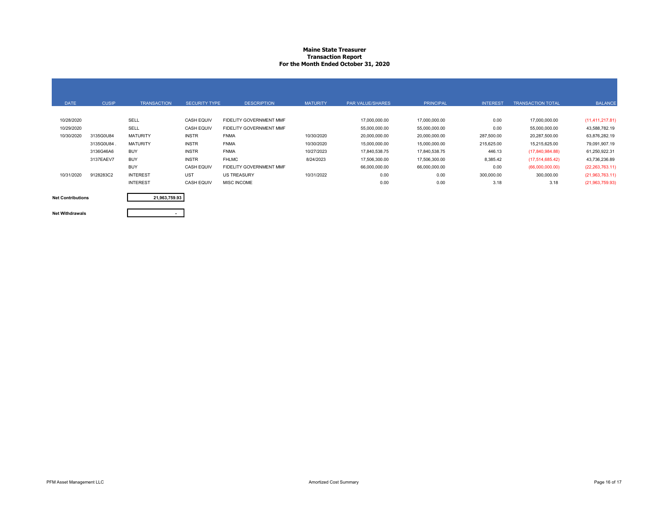#### Maine State Treasurer Transaction Report For the Month Ended October 31, 2020

| <b>DATE</b>              | <b>CUSIP</b> | <b>TRANSACTION</b> | <b>SECURITY TYPE</b> | <b>DESCRIPTION</b>      | <b>MATURITY</b> | <b>PAR VALUE/SHARES</b> | <b>PRINCIPAL</b> | <b>INTEREST</b> | <b>TRANSACTION TOTAL</b> | <b>BALANCE</b>     |
|--------------------------|--------------|--------------------|----------------------|-------------------------|-----------------|-------------------------|------------------|-----------------|--------------------------|--------------------|
|                          |              |                    |                      |                         |                 |                         |                  |                 |                          |                    |
| 10/28/2020               |              | SELL               | <b>CASH EQUIV</b>    | FIDELITY GOVERNMENT MMF |                 | 17,000,000.00           | 17,000,000.00    | 0.00            | 17,000,000.00            | (11, 411, 217.81)  |
| 10/29/2020               |              | SELL               | <b>CASH EQUIV</b>    | FIDELITY GOVERNMENT MMF |                 | 55,000,000.00           | 55,000,000.00    | 0.00            | 55,000,000.00            | 43,588,782.19      |
| 10/30/2020               | 3135G0U84    | <b>MATURITY</b>    | <b>INSTR</b>         | <b>FNMA</b>             | 10/30/2020      | 20,000,000.00           | 20,000,000.00    | 287,500.00      | 20,287,500.00            | 63,876,282.19      |
|                          | 3135G0U84.   | <b>MATURITY</b>    | <b>INSTR</b>         | <b>FNMA</b>             | 10/30/2020      | 15,000,000.00           | 15,000,000.00    | 215,625.00      | 15,215,625.00            | 79,091,907.19      |
|                          | 3136G46A6    | <b>BUY</b>         | <b>INSTR</b>         | <b>FNMA</b>             | 10/27/2023      | 17,840,538.75           | 17,840,538.75    | 446.13          | (17, 840, 984.88)        | 61,250,922.31      |
|                          | 3137EAEV7    | <b>BUY</b>         | <b>INSTR</b>         | <b>FHLMC</b>            | 8/24/2023       | 17,506,300.00           | 17,506,300.00    | 8,385.42        | (17,514,685.42)          | 43,736,236.89      |
|                          |              | <b>BUY</b>         | <b>CASH EQUIV</b>    | FIDELITY GOVERNMENT MMF |                 | 66,000,000.00           | 66,000,000.00    | 0.00            | (66,000,000.00)          | (22, 263, 763, 11) |
| 10/31/2020               | 9128283C2    | <b>INTEREST</b>    | UST                  | <b>US TREASURY</b>      | 10/31/2022      | 0.00                    | 0.00             | 300,000.00      | 300,000.00               | (21,963,763.11)    |
|                          |              | <b>INTEREST</b>    | <b>CASH EQUIV</b>    | <b>MISC INCOME</b>      |                 | 0.00                    | 0.00             | 3.18            | 3.18                     | (21,963,759.93)    |
| <b>Net Contributions</b> |              | 21,963,759.93      |                      |                         |                 |                         |                  |                 |                          |                    |

Net Contributions

Net Withdrawals

-